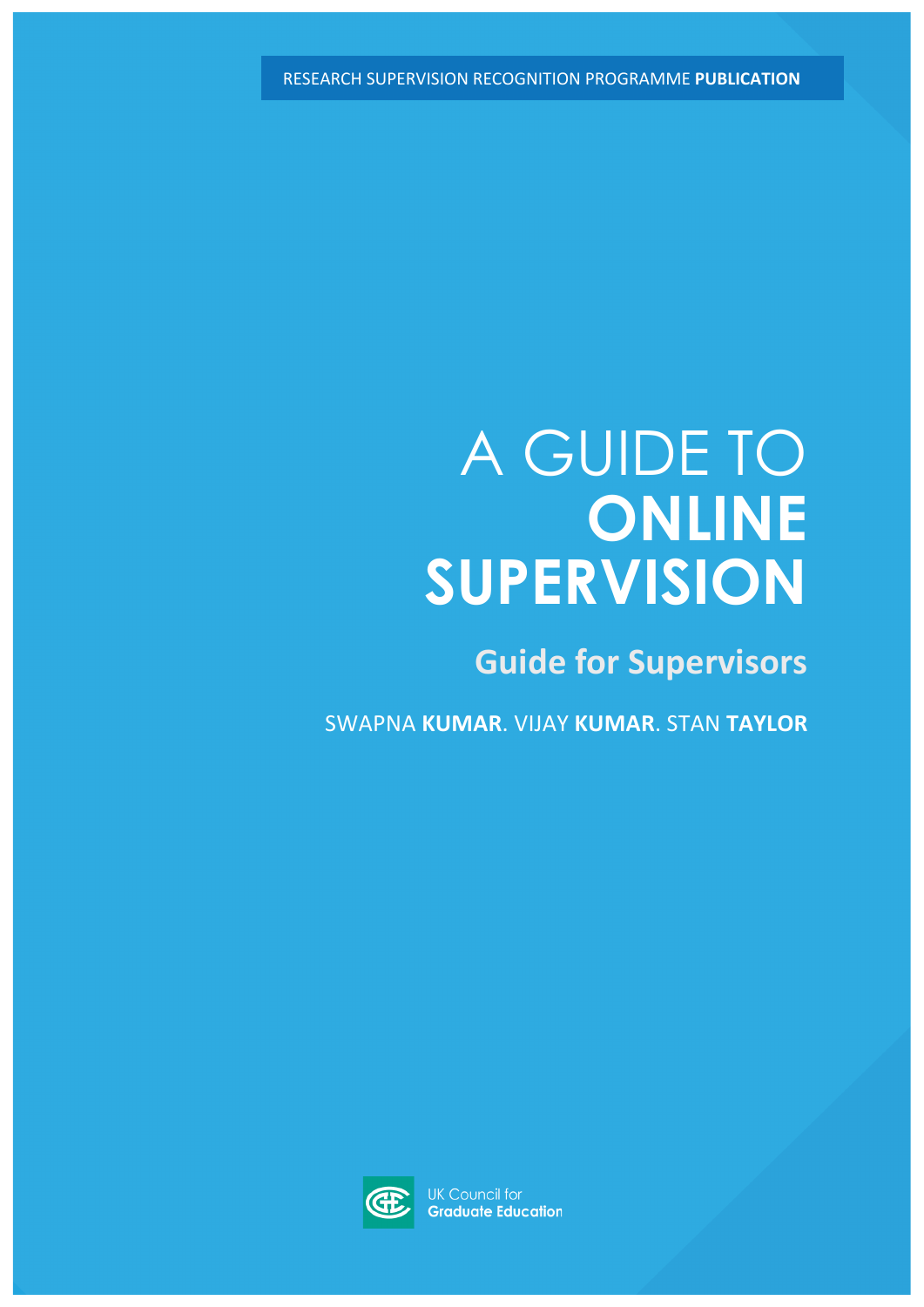RESEARCH SUPERVISION RECOGNITION PROGRAMME **PUBLICATION**

# A GUIDE TO **ONLINE SUPERVISION**

**Guide for Supervisors** 

SWAPNA **KUMAR**. VIJAY **KUMAR**. STAN **TAYLOR**



**UK Council for Graduate Education**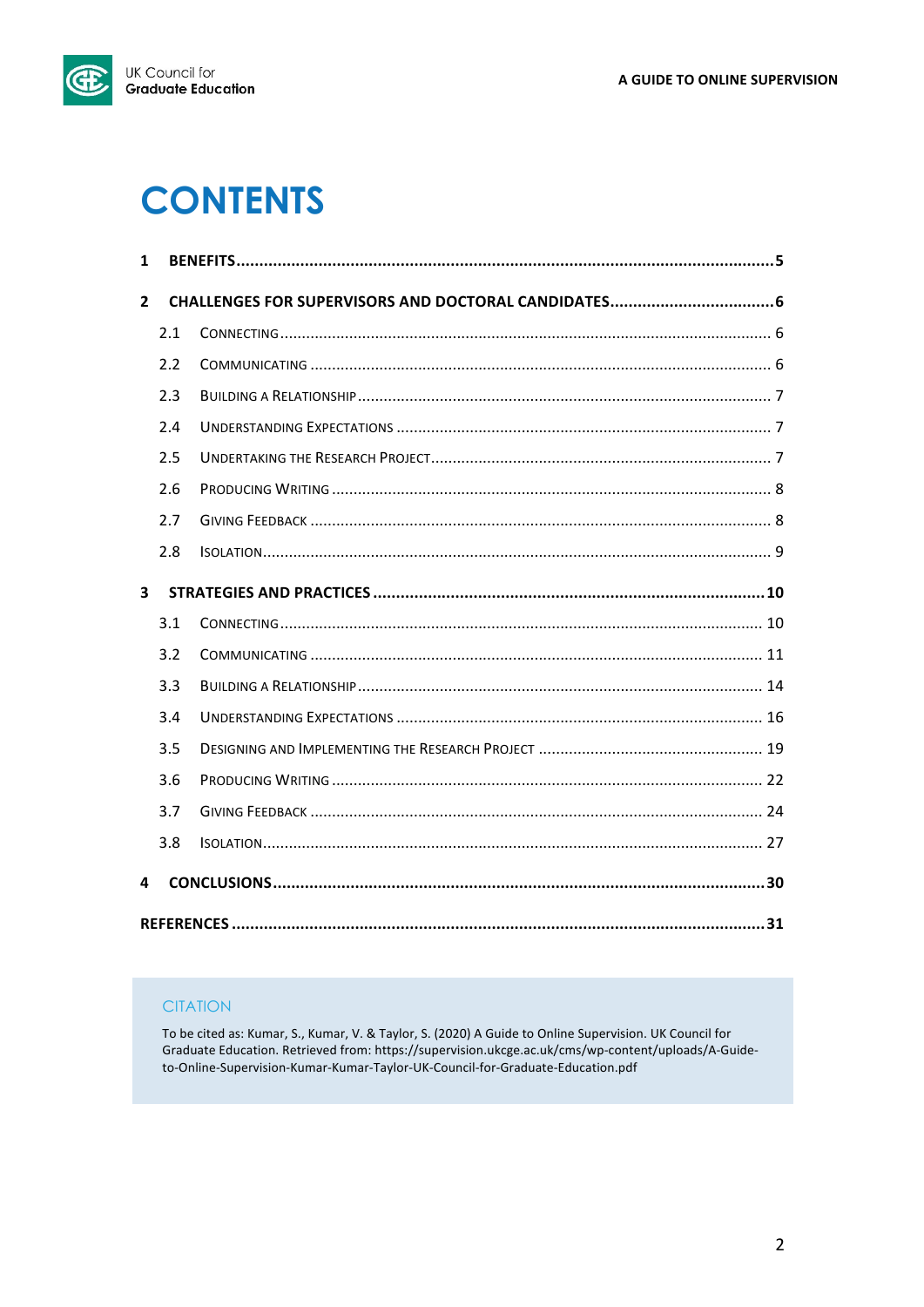

## **CONTENTS**

| $\mathbf{1}$            |     |  |  |
|-------------------------|-----|--|--|
| $\overline{2}$          |     |  |  |
|                         | 2.1 |  |  |
|                         | 2.2 |  |  |
|                         | 2.3 |  |  |
|                         | 2.4 |  |  |
|                         | 2.5 |  |  |
|                         | 2.6 |  |  |
|                         | 2.7 |  |  |
|                         | 2.8 |  |  |
| $\overline{\mathbf{3}}$ |     |  |  |
|                         | 3.1 |  |  |
|                         | 3.2 |  |  |
|                         | 3.3 |  |  |
|                         | 3.4 |  |  |
|                         | 3.5 |  |  |
|                         | 3.6 |  |  |
|                         | 3.7 |  |  |
|                         | 3.8 |  |  |
| 4                       |     |  |  |
|                         |     |  |  |

## **CITATION**

To be cited as: Kumar, S., Kumar, V. & Taylor, S. (2020) A Guide to Online Supervision. UK Council for Graduate Education. Retrieved from: https://supervision.ukcge.ac.uk/cms/wp-content/uploads/A-Guideto-Online-Supervision-Kumar-Kumar-Taylor-UK-Council-for-Graduate-Education.pdf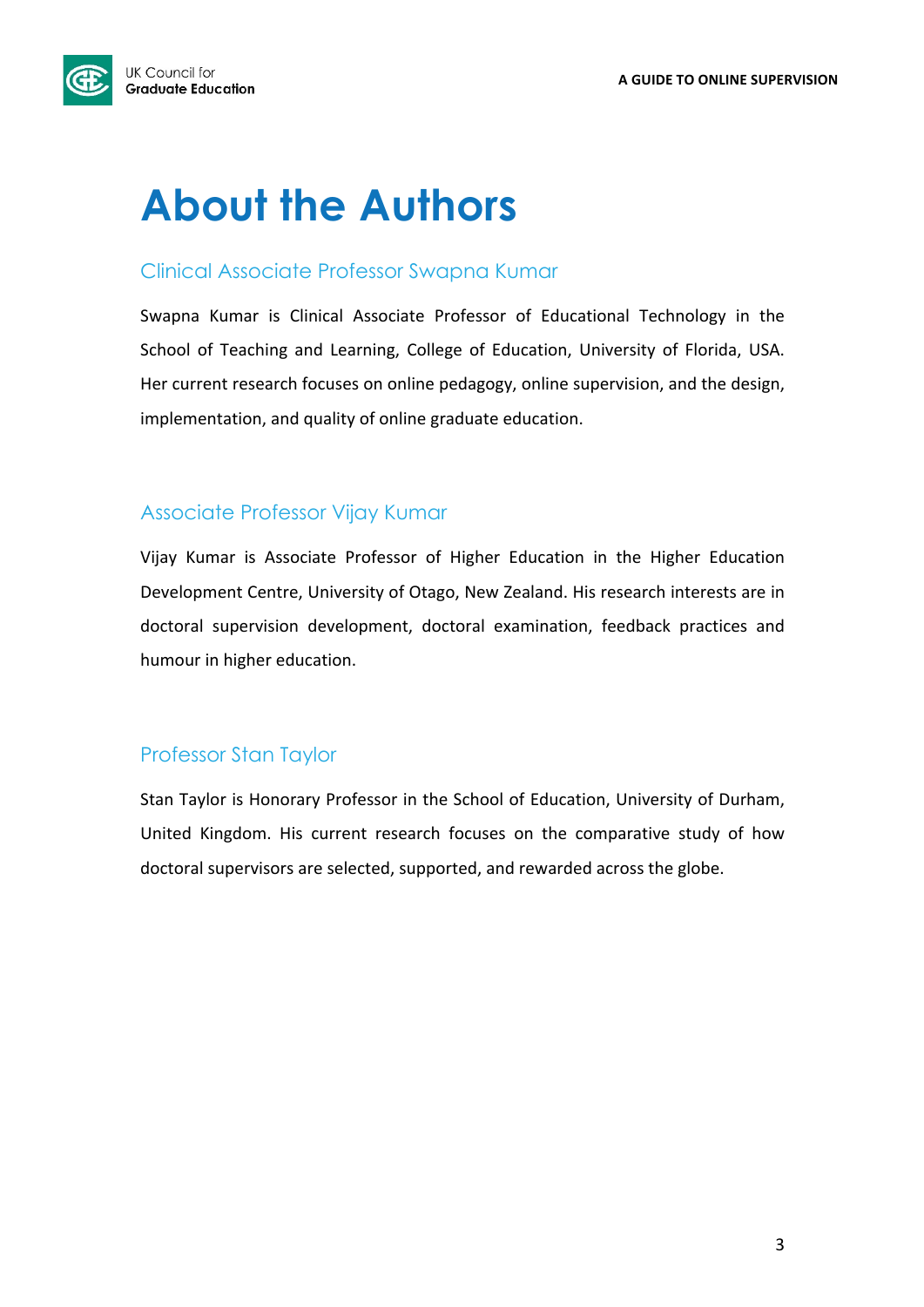

# **About the Authors**

## Clinical Associate Professor Swapna Kumar

Swapna Kumar is Clinical Associate Professor of Educational Technology in the School of Teaching and Learning, College of Education, University of Florida, USA. Her current research focuses on online pedagogy, online supervision, and the design, implementation, and quality of online graduate education.

## Associate Professor Vijay Kumar

Vijay Kumar is Associate Professor of Higher Education in the Higher Education Development Centre, University of Otago, New Zealand. His research interests are in doctoral supervision development, doctoral examination, feedback practices and humour in higher education.

## Professor Stan Taylor

Stan Taylor is Honorary Professor in the School of Education, University of Durham, United Kingdom. His current research focuses on the comparative study of how doctoral supervisors are selected, supported, and rewarded across the globe.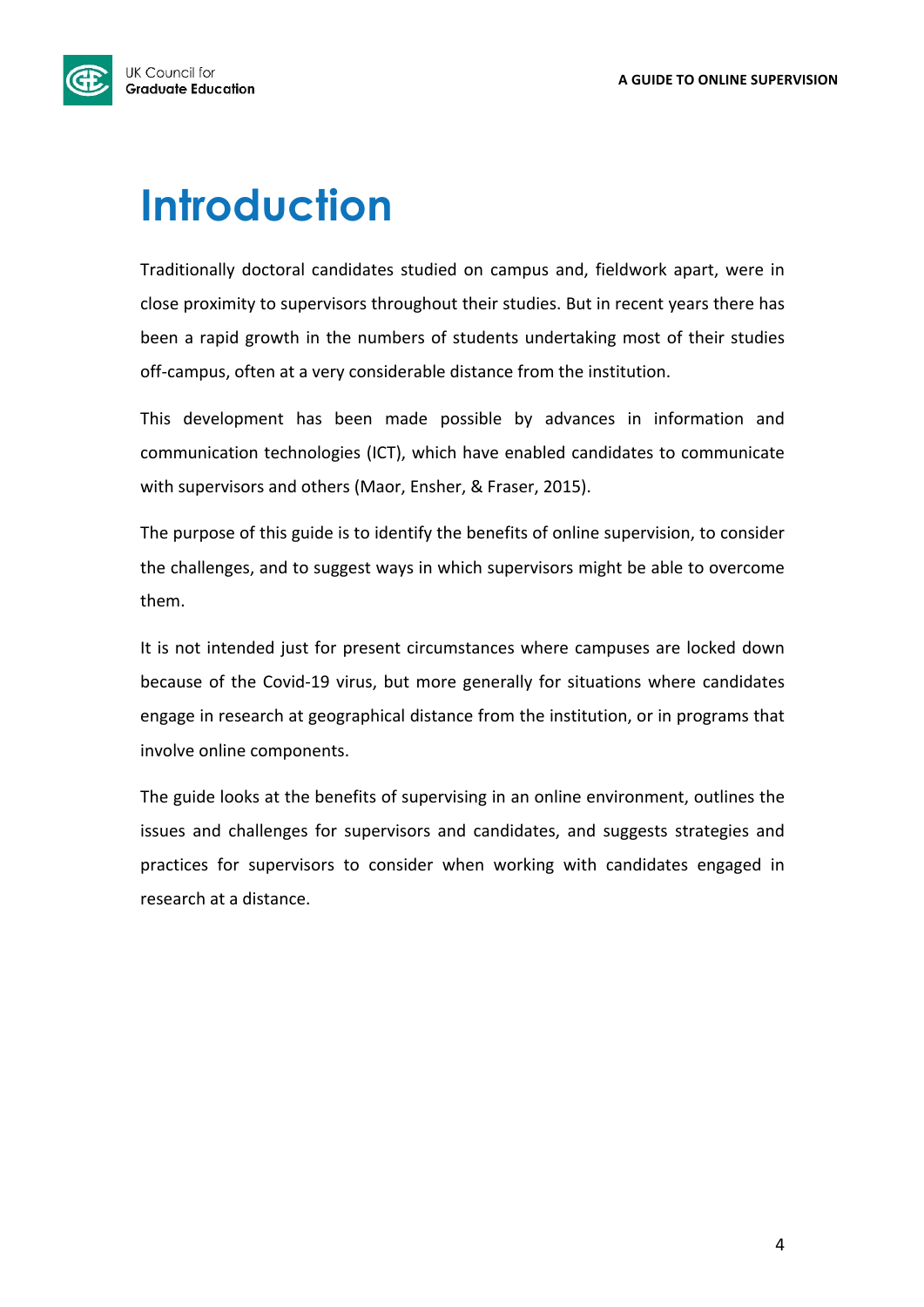

# **Introduction**

Traditionally doctoral candidates studied on campus and, fieldwork apart, were in close proximity to supervisors throughout their studies. But in recent years there has been a rapid growth in the numbers of students undertaking most of their studies off-campus, often at a very considerable distance from the institution.

This development has been made possible by advances in information and communication technologies (ICT), which have enabled candidates to communicate with supervisors and others (Maor, Ensher, & Fraser, 2015).

The purpose of this guide is to identify the benefits of online supervision, to consider the challenges, and to suggest ways in which supervisors might be able to overcome them.

It is not intended just for present circumstances where campuses are locked down because of the Covid-19 virus, but more generally for situations where candidates engage in research at geographical distance from the institution, or in programs that involve online components.

The guide looks at the benefits of supervising in an online environment, outlines the issues and challenges for supervisors and candidates, and suggests strategies and practices for supervisors to consider when working with candidates engaged in research at a distance.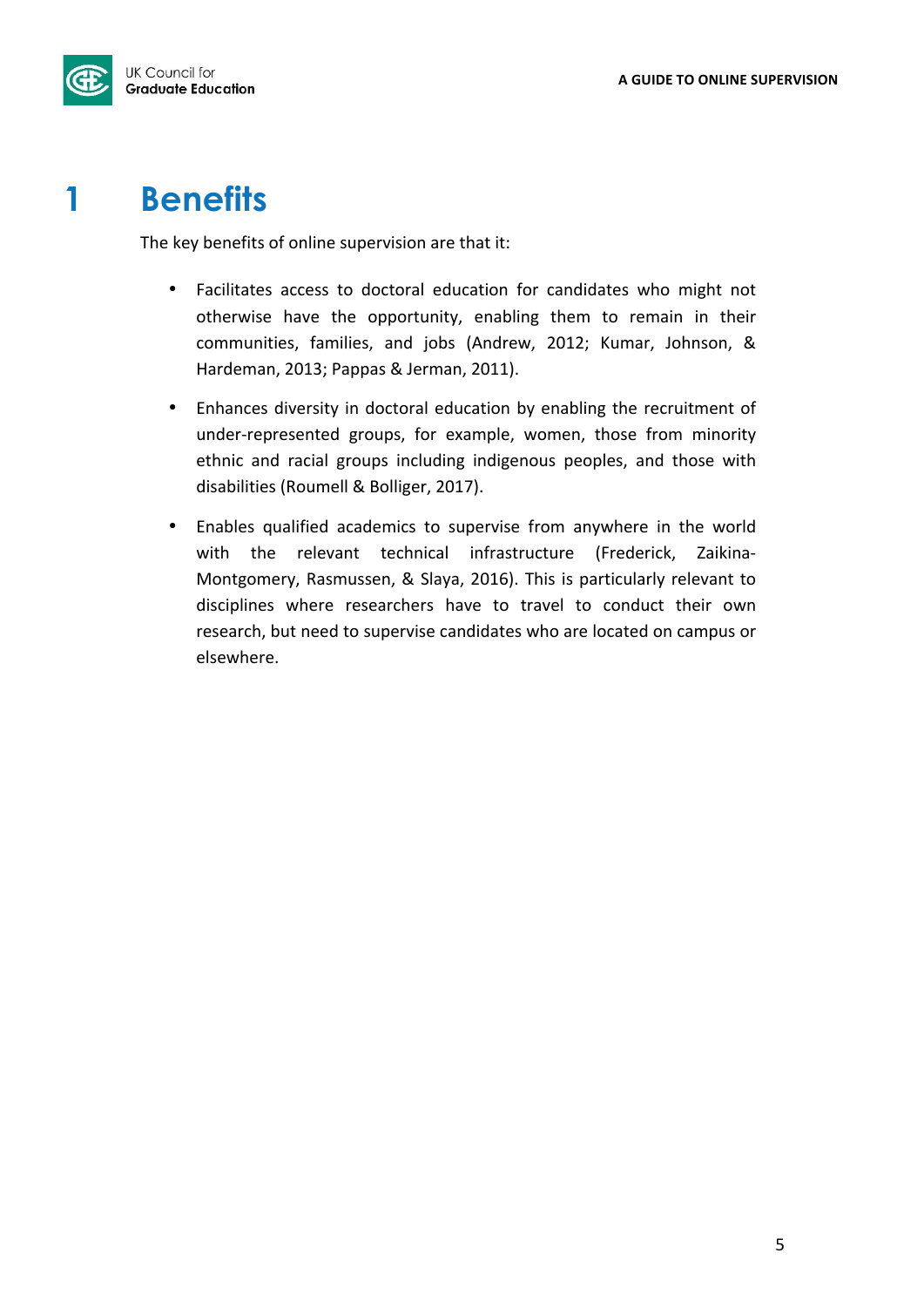

## **1 Benefits**

The key benefits of online supervision are that it:

- Facilitates access to doctoral education for candidates who might not otherwise have the opportunity, enabling them to remain in their communities, families, and jobs (Andrew, 2012; Kumar, Johnson, & Hardeman, 2013; Pappas & Jerman, 2011).
- Enhances diversity in doctoral education by enabling the recruitment of under-represented groups, for example, women, those from minority ethnic and racial groups including indigenous peoples, and those with disabilities (Roumell & Bolliger, 2017).
- Enables qualified academics to supervise from anywhere in the world with the relevant technical infrastructure (Frederick, Zaikina-Montgomery, Rasmussen, & Slaya, 2016). This is particularly relevant to disciplines where researchers have to travel to conduct their own research, but need to supervise candidates who are located on campus or elsewhere.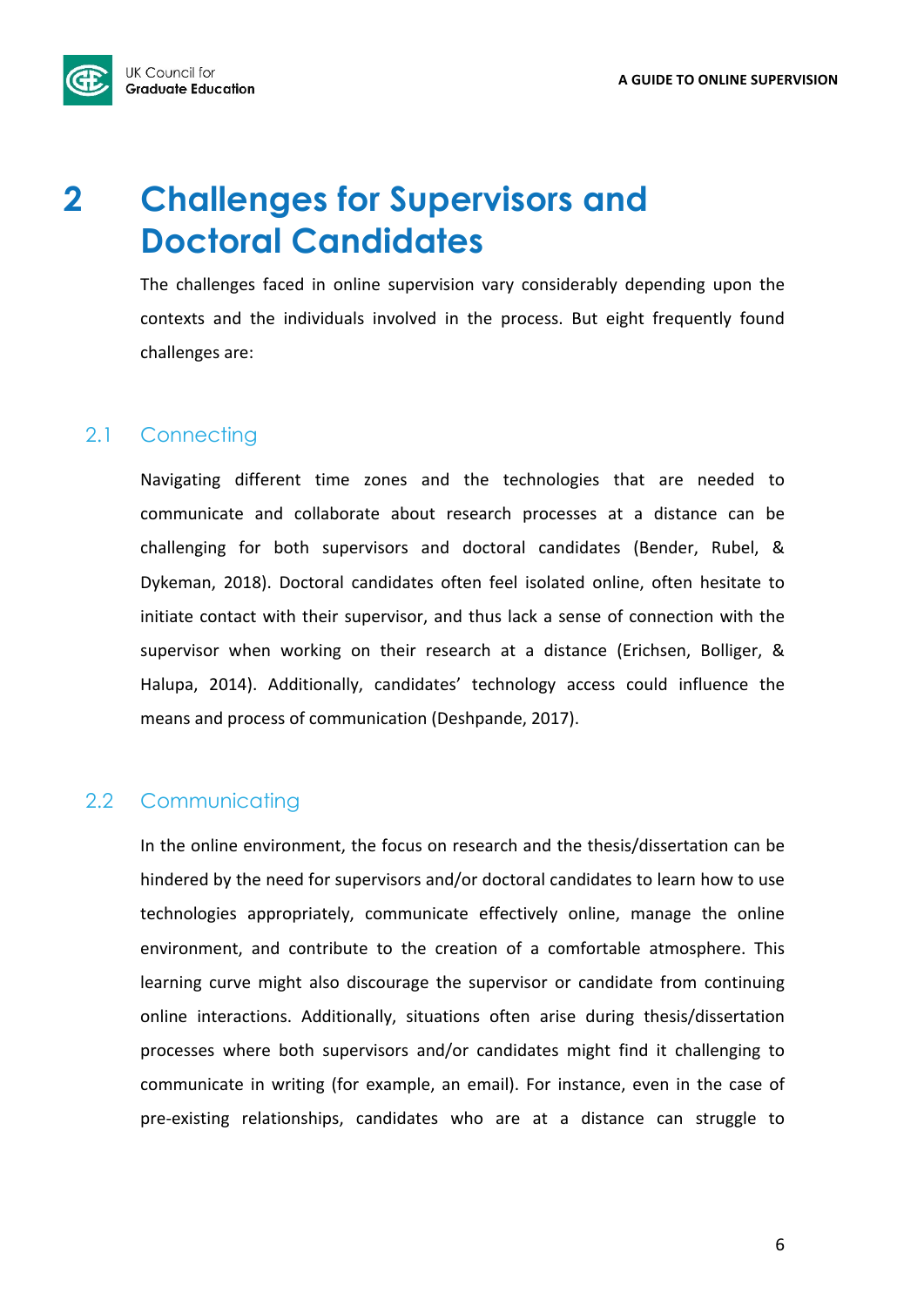

## **2 Challenges for Supervisors and Doctoral Candidates**

The challenges faced in online supervision vary considerably depending upon the contexts and the individuals involved in the process. But eight frequently found challenges are:

## 2.1 Connecting

Navigating different time zones and the technologies that are needed to communicate and collaborate about research processes at a distance can be challenging for both supervisors and doctoral candidates (Bender, Rubel, & Dykeman, 2018). Doctoral candidates often feel isolated online, often hesitate to initiate contact with their supervisor, and thus lack a sense of connection with the supervisor when working on their research at a distance (Erichsen, Bolliger, & Halupa, 2014). Additionally, candidates' technology access could influence the means and process of communication (Deshpande, 2017).

## 2.2 Communicating

In the online environment, the focus on research and the thesis/dissertation can be hindered by the need for supervisors and/or doctoral candidates to learn how to use technologies appropriately, communicate effectively online, manage the online environment, and contribute to the creation of a comfortable atmosphere. This learning curve might also discourage the supervisor or candidate from continuing online interactions. Additionally, situations often arise during thesis/dissertation processes where both supervisors and/or candidates might find it challenging to communicate in writing (for example, an email). For instance, even in the case of pre-existing relationships, candidates who are at a distance can struggle to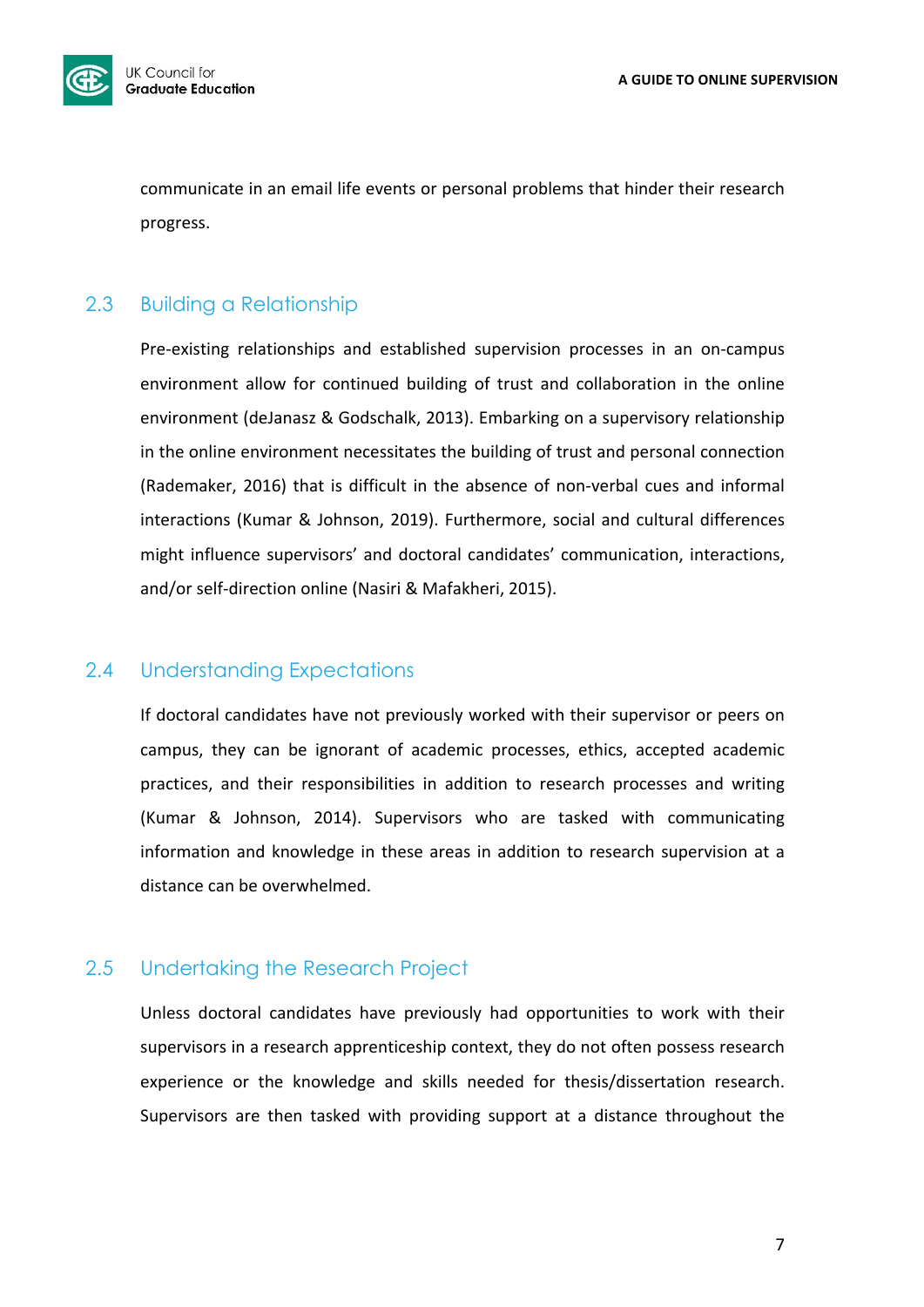

communicate in an email life events or personal problems that hinder their research progress.

## 2.3 Building a Relationship

Pre-existing relationships and established supervision processes in an on-campus environment allow for continued building of trust and collaboration in the online environment (deJanasz & Godschalk, 2013). Embarking on a supervisory relationship in the online environment necessitates the building of trust and personal connection (Rademaker, 2016) that is difficult in the absence of non-verbal cues and informal interactions (Kumar & Johnson, 2019). Furthermore, social and cultural differences might influence supervisors' and doctoral candidates' communication, interactions, and/or self-direction online (Nasiri & Mafakheri, 2015).

## 2.4 Understanding Expectations

If doctoral candidates have not previously worked with their supervisor or peers on campus, they can be ignorant of academic processes, ethics, accepted academic practices, and their responsibilities in addition to research processes and writing (Kumar & Johnson, 2014). Supervisors who are tasked with communicating information and knowledge in these areas in addition to research supervision at a distance can be overwhelmed.

## 2.5 Undertaking the Research Project

Unless doctoral candidates have previously had opportunities to work with their supervisors in a research apprenticeship context, they do not often possess research experience or the knowledge and skills needed for thesis/dissertation research. Supervisors are then tasked with providing support at a distance throughout the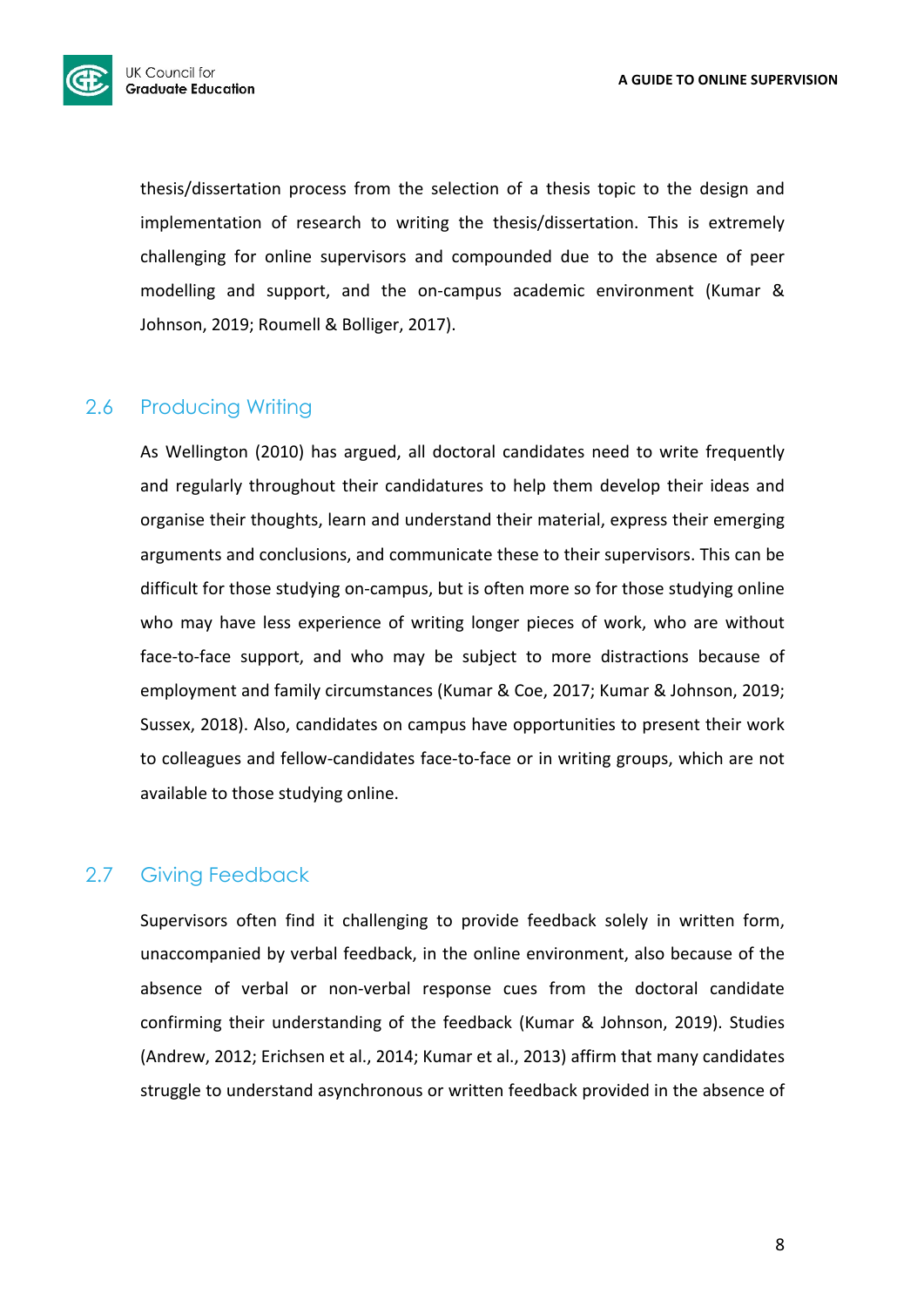

thesis/dissertation process from the selection of a thesis topic to the design and implementation of research to writing the thesis/dissertation. This is extremely challenging for online supervisors and compounded due to the absence of peer modelling and support, and the on-campus academic environment (Kumar & Johnson, 2019; Roumell & Bolliger, 2017).

## 2.6 Producing Writing

As Wellington (2010) has argued, all doctoral candidates need to write frequently and regularly throughout their candidatures to help them develop their ideas and organise their thoughts, learn and understand their material, express their emerging arguments and conclusions, and communicate these to their supervisors. This can be difficult for those studying on-campus, but is often more so for those studying online who may have less experience of writing longer pieces of work, who are without face-to-face support, and who may be subject to more distractions because of employment and family circumstances (Kumar & Coe, 2017; Kumar & Johnson, 2019; Sussex, 2018). Also, candidates on campus have opportunities to present their work to colleagues and fellow-candidates face-to-face or in writing groups, which are not available to those studying online.

## 2.7 Giving Feedback

Supervisors often find it challenging to provide feedback solely in written form, unaccompanied by verbal feedback, in the online environment, also because of the absence of verbal or non-verbal response cues from the doctoral candidate confirming their understanding of the feedback (Kumar & Johnson, 2019). Studies (Andrew, 2012; Erichsen et al., 2014; Kumar et al., 2013) affirm that many candidates struggle to understand asynchronous or written feedback provided in the absence of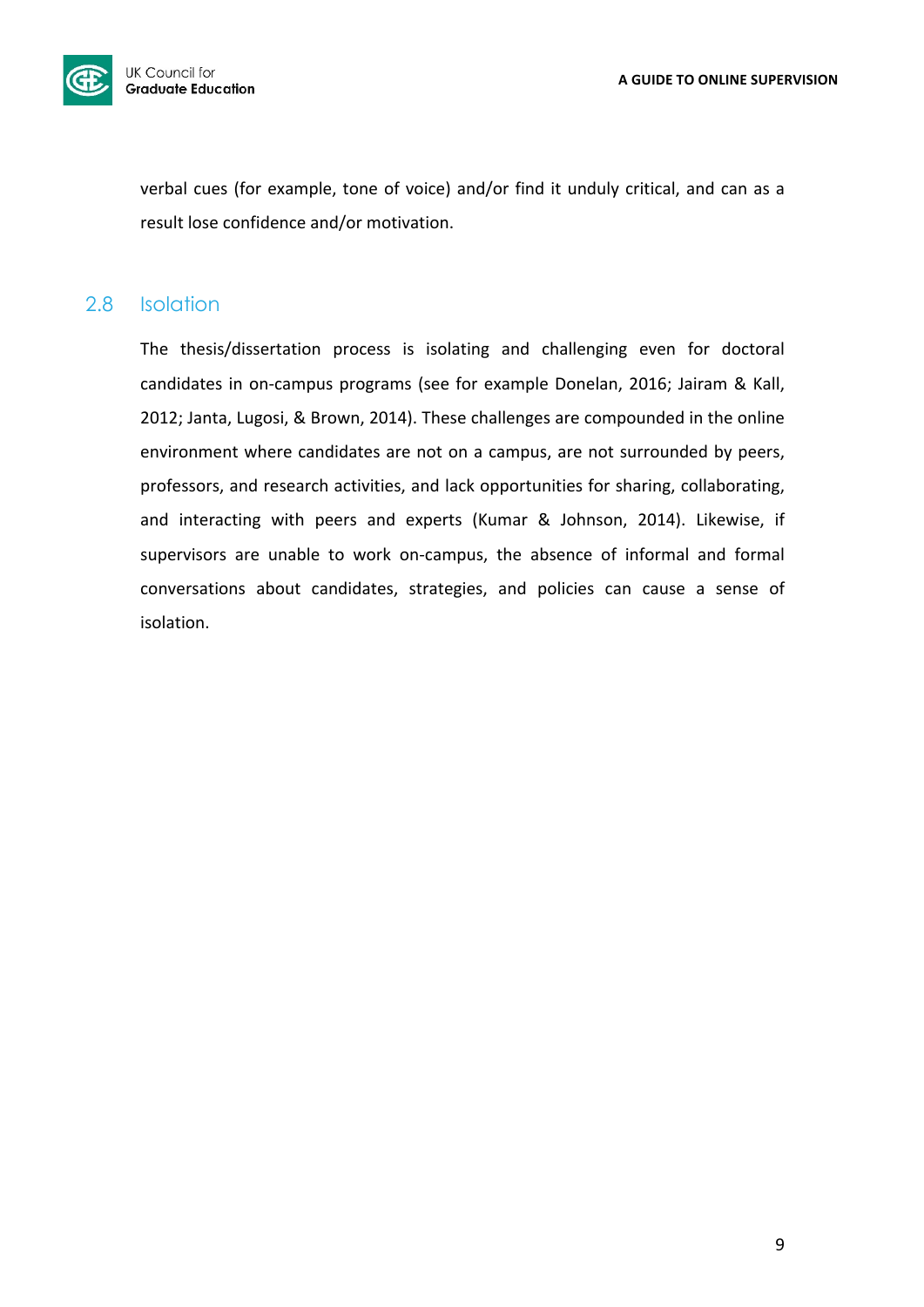

verbal cues (for example, tone of voice) and/or find it unduly critical, and can as a result lose confidence and/or motivation.

## 2.8 Isolation

The thesis/dissertation process is isolating and challenging even for doctoral candidates in on-campus programs (see for example Donelan, 2016; Jairam & Kall, 2012; Janta, Lugosi, & Brown, 2014). These challenges are compounded in the online environment where candidates are not on a campus, are not surrounded by peers, professors, and research activities, and lack opportunities for sharing, collaborating, and interacting with peers and experts (Kumar & Johnson, 2014). Likewise, if supervisors are unable to work on-campus, the absence of informal and formal conversations about candidates, strategies, and policies can cause a sense of isolation.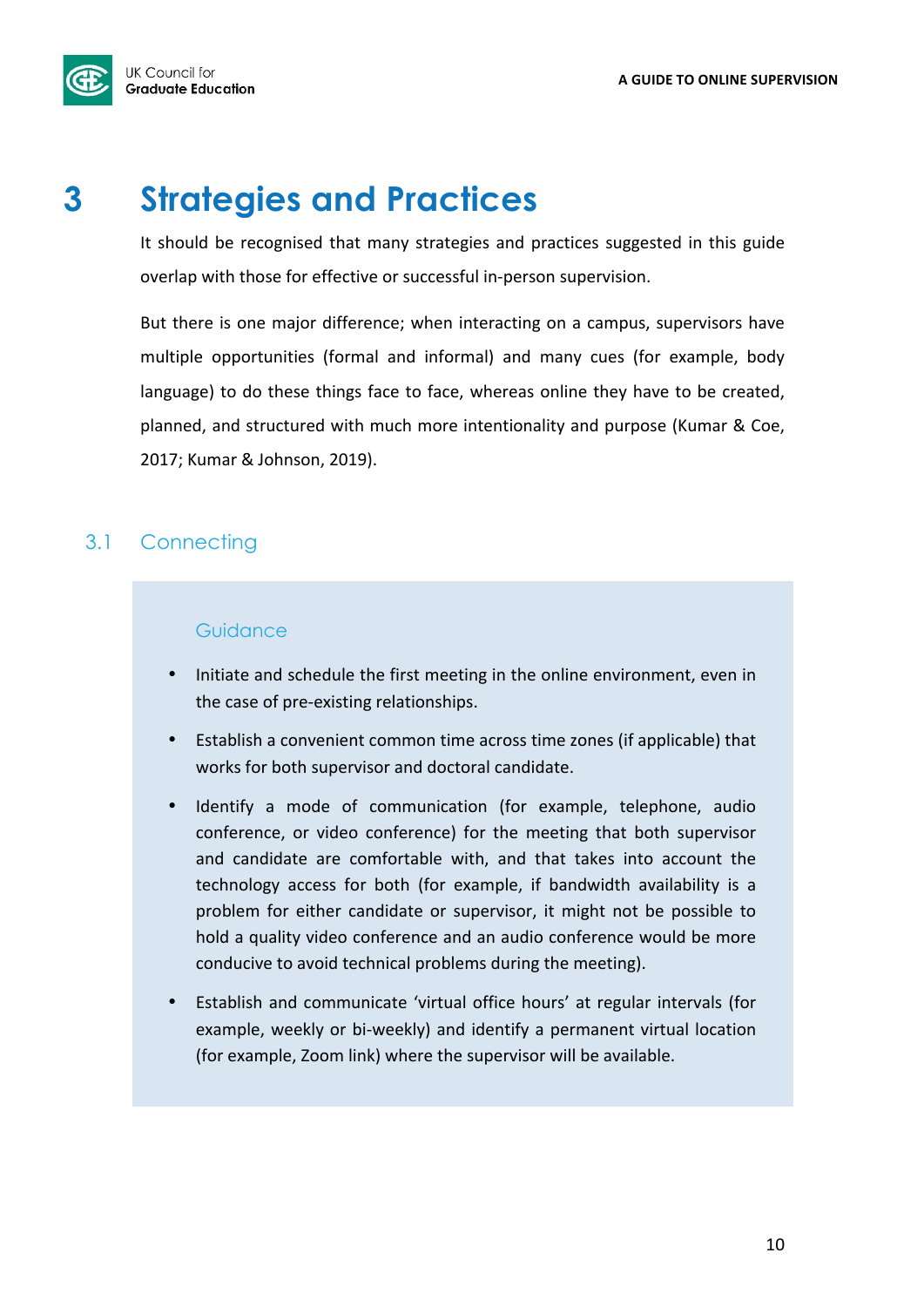**UK Council for Graduate Education** 

## **3 Strategies and Practices**

It should be recognised that many strategies and practices suggested in this guide overlap with those for effective or successful in-person supervision.

But there is one major difference; when interacting on a campus, supervisors have multiple opportunities (formal and informal) and many cues (for example, body language) to do these things face to face, whereas online they have to be created, planned, and structured with much more intentionality and purpose (Kumar & Coe, 2017; Kumar & Johnson, 2019).

## 3.1 Connecting

## **Guidance**

- Initiate and schedule the first meeting in the online environment, even in the case of pre-existing relationships.
- Establish a convenient common time across time zones (if applicable) that works for both supervisor and doctoral candidate.
- Identify a mode of communication (for example, telephone, audio conference, or video conference) for the meeting that both supervisor and candidate are comfortable with, and that takes into account the technology access for both (for example, if bandwidth availability is a problem for either candidate or supervisor, it might not be possible to hold a quality video conference and an audio conference would be more conducive to avoid technical problems during the meeting).
- Establish and communicate 'virtual office hours' at regular intervals (for example, weekly or bi-weekly) and identify a permanent virtual location (for example, Zoom link) where the supervisor will be available.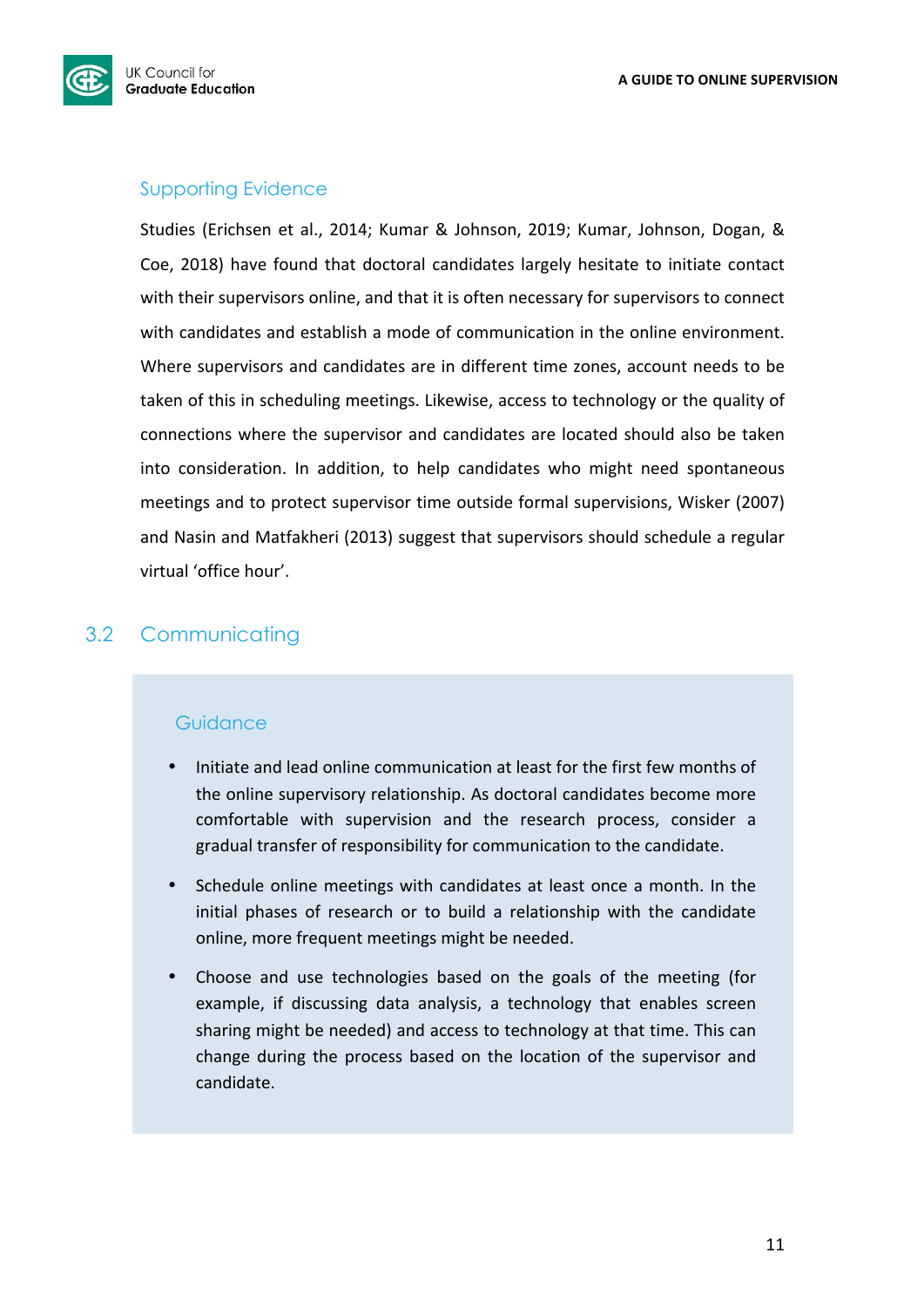

## Supporting Evidence

Studies (Erichsen et al., 2014; Kumar & Johnson, 2019; Kumar, Johnson, Dogan, & Coe, 2018) have found that doctoral candidates largely hesitate to initiate contact with their supervisors online, and that it is often necessary for supervisors to connect with candidates and establish a mode of communication in the online environment. Where supervisors and candidates are in different time zones, account needs to be taken of this in scheduling meetings. Likewise, access to technology or the quality of connections where the supervisor and candidates are located should also be taken into consideration. In addition, to help candidates who might need spontaneous meetings and to protect supervisor time outside formal supervisions, Wisker (2007) and Nasin and Matfakheri (2013) suggest that supervisors should schedule a regular virtual 'office hour'.

## 3.2 Communicating

## **Guidance**

- Initiate and lead online communication at least for the first few months of the online supervisory relationship. As doctoral candidates become more comfortable with supervision and the research process, consider a gradual transfer of responsibility for communication to the candidate.
- Schedule online meetings with candidates at least once a month. In the initial phases of research or to build a relationship with the candidate online, more frequent meetings might be needed.
- Choose and use technologies based on the goals of the meeting (for example, if discussing data analysis, a technology that enables screen sharing might be needed) and access to technology at that time. This can change during the process based on the location of the supervisor and candidate.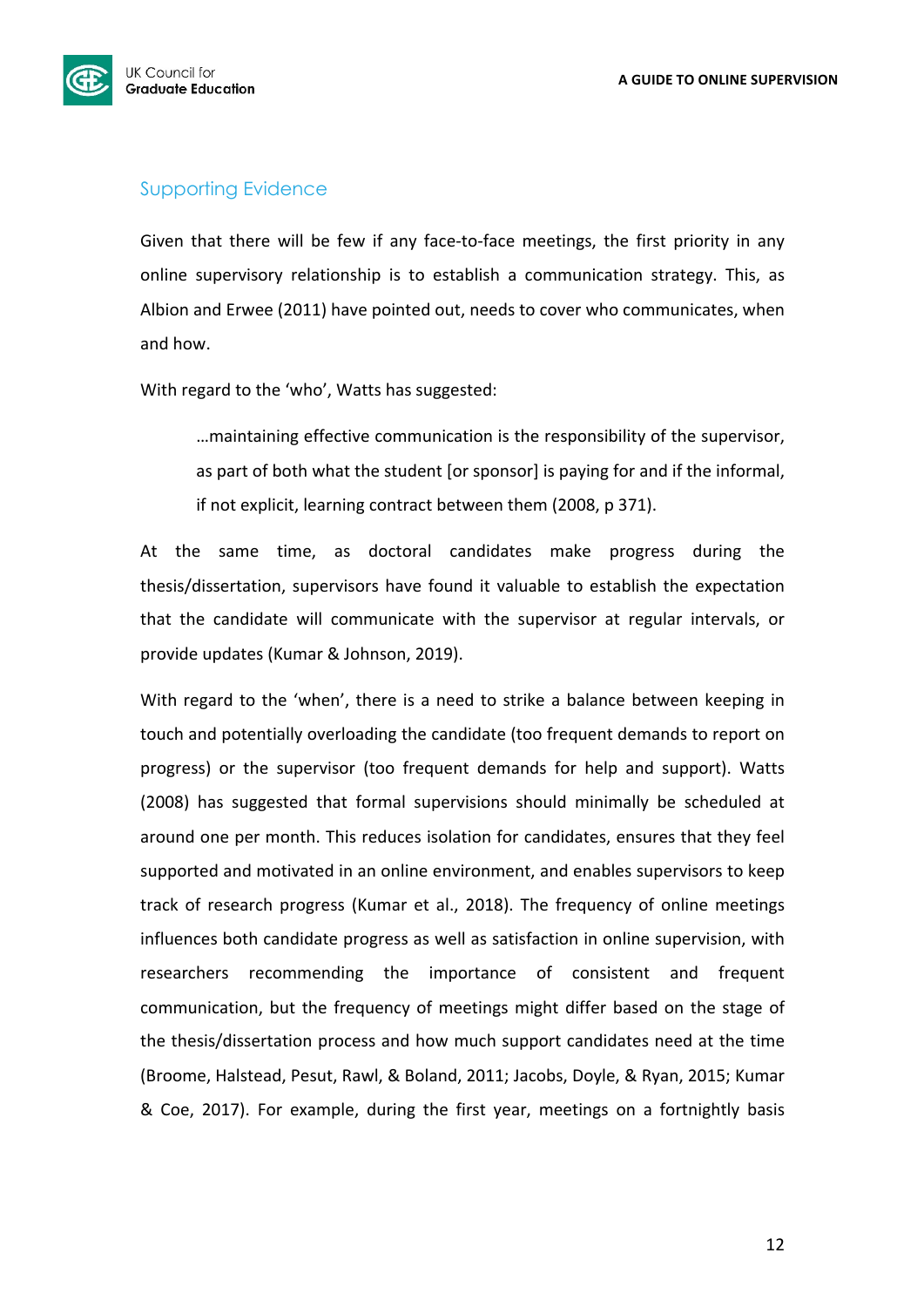

## Supporting Evidence

Given that there will be few if any face-to-face meetings, the first priority in any online supervisory relationship is to establish a communication strategy. This, as Albion and Erwee (2011) have pointed out, needs to cover who communicates, when and how.

With regard to the 'who', Watts has suggested:

...maintaining effective communication is the responsibility of the supervisor, as part of both what the student [or sponsor] is paying for and if the informal, if not explicit, learning contract between them (2008, p 371).

At the same time, as doctoral candidates make progress during the thesis/dissertation, supervisors have found it valuable to establish the expectation that the candidate will communicate with the supervisor at regular intervals, or provide updates (Kumar & Johnson, 2019).

With regard to the 'when', there is a need to strike a balance between keeping in touch and potentially overloading the candidate (too frequent demands to report on progress) or the supervisor (too frequent demands for help and support). Watts (2008) has suggested that formal supervisions should minimally be scheduled at around one per month. This reduces isolation for candidates, ensures that they feel supported and motivated in an online environment, and enables supervisors to keep track of research progress (Kumar et al., 2018). The frequency of online meetings influences both candidate progress as well as satisfaction in online supervision, with researchers recommending the importance of consistent and frequent communication, but the frequency of meetings might differ based on the stage of the thesis/dissertation process and how much support candidates need at the time (Broome, Halstead, Pesut, Rawl, & Boland, 2011; Jacobs, Doyle, & Ryan, 2015; Kumar & Coe, 2017). For example, during the first year, meetings on a fortnightly basis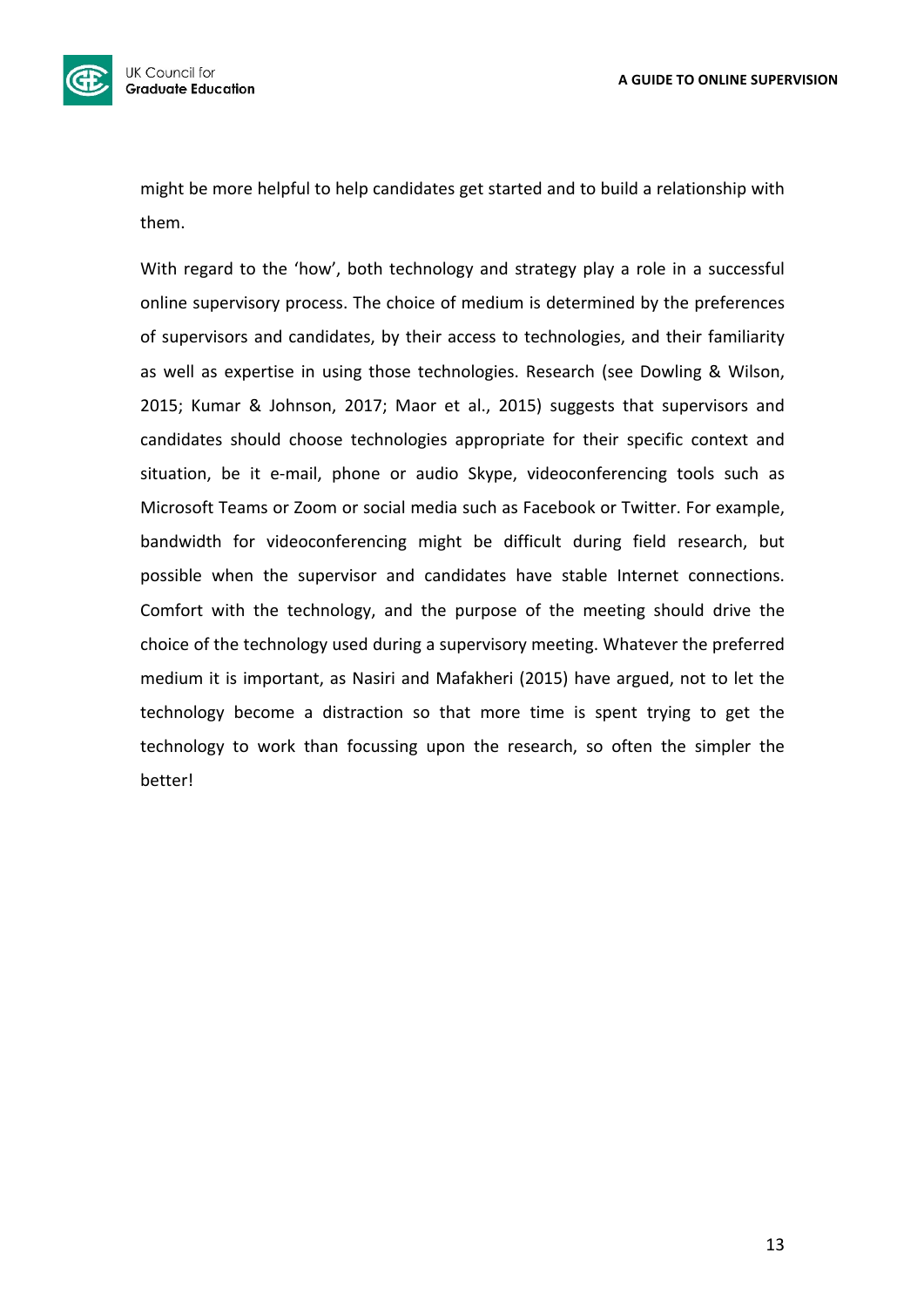

might be more helpful to help candidates get started and to build a relationship with them.

With regard to the 'how', both technology and strategy play a role in a successful online supervisory process. The choice of medium is determined by the preferences of supervisors and candidates, by their access to technologies, and their familiarity as well as expertise in using those technologies. Research (see Dowling & Wilson, 2015; Kumar & Johnson, 2017; Maor et al., 2015) suggests that supervisors and candidates should choose technologies appropriate for their specific context and situation, be it e-mail, phone or audio Skype, videoconferencing tools such as Microsoft Teams or Zoom or social media such as Facebook or Twitter. For example, bandwidth for videoconferencing might be difficult during field research, but possible when the supervisor and candidates have stable Internet connections. Comfort with the technology, and the purpose of the meeting should drive the choice of the technology used during a supervisory meeting. Whatever the preferred medium it is important, as Nasiri and Mafakheri (2015) have argued, not to let the technology become a distraction so that more time is spent trying to get the technology to work than focussing upon the research, so often the simpler the better!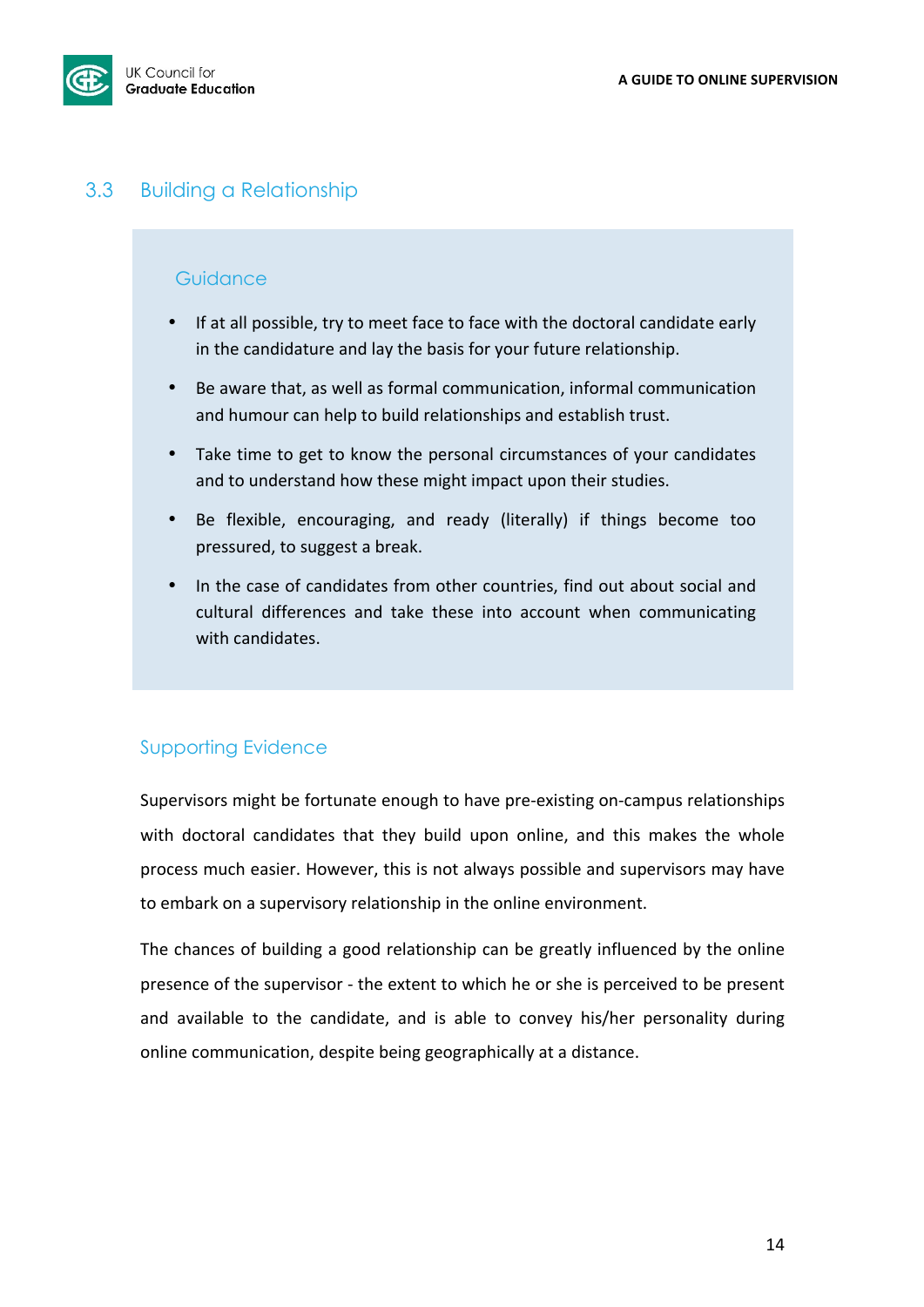

## 3.3 Building a Relationship

### **Guidance**

- If at all possible, try to meet face to face with the doctoral candidate early in the candidature and lay the basis for your future relationship.
- Be aware that, as well as formal communication, informal communication and humour can help to build relationships and establish trust.
- Take time to get to know the personal circumstances of your candidates and to understand how these might impact upon their studies.
- Be flexible, encouraging, and ready (literally) if things become too pressured, to suggest a break.
- In the case of candidates from other countries, find out about social and cultural differences and take these into account when communicating with candidates.

## Supporting Evidence

Supervisors might be fortunate enough to have pre-existing on-campus relationships with doctoral candidates that they build upon online, and this makes the whole process much easier. However, this is not always possible and supervisors may have to embark on a supervisory relationship in the online environment.

The chances of building a good relationship can be greatly influenced by the online presence of the supervisor - the extent to which he or she is perceived to be present and available to the candidate, and is able to convey his/her personality during online communication, despite being geographically at a distance.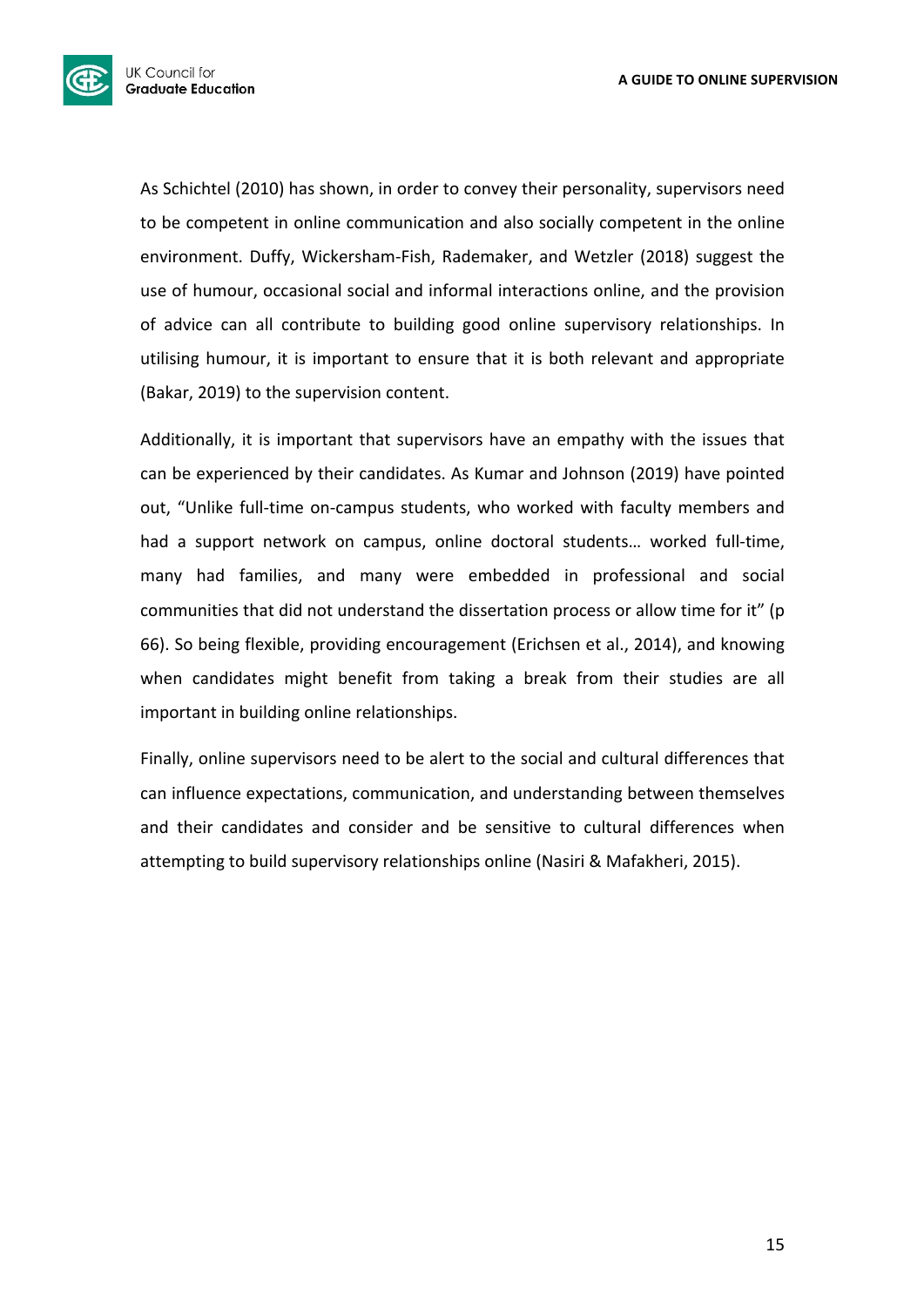

As Schichtel (2010) has shown, in order to convey their personality, supervisors need to be competent in online communication and also socially competent in the online environment. Duffy, Wickersham-Fish, Rademaker, and Wetzler (2018) suggest the use of humour, occasional social and informal interactions online, and the provision of advice can all contribute to building good online supervisory relationships. In utilising humour, it is important to ensure that it is both relevant and appropriate (Bakar, 2019) to the supervision content.

Additionally, it is important that supervisors have an empathy with the issues that can be experienced by their candidates. As Kumar and Johnson (2019) have pointed out, "Unlike full-time on-campus students, who worked with faculty members and had a support network on campus, online doctoral students... worked full-time, many had families, and many were embedded in professional and social communities that did not understand the dissertation process or allow time for it" (p 66). So being flexible, providing encouragement (Erichsen et al., 2014), and knowing when candidates might benefit from taking a break from their studies are all important in building online relationships.

Finally, online supervisors need to be alert to the social and cultural differences that can influence expectations, communication, and understanding between themselves and their candidates and consider and be sensitive to cultural differences when attempting to build supervisory relationships online (Nasiri & Mafakheri, 2015).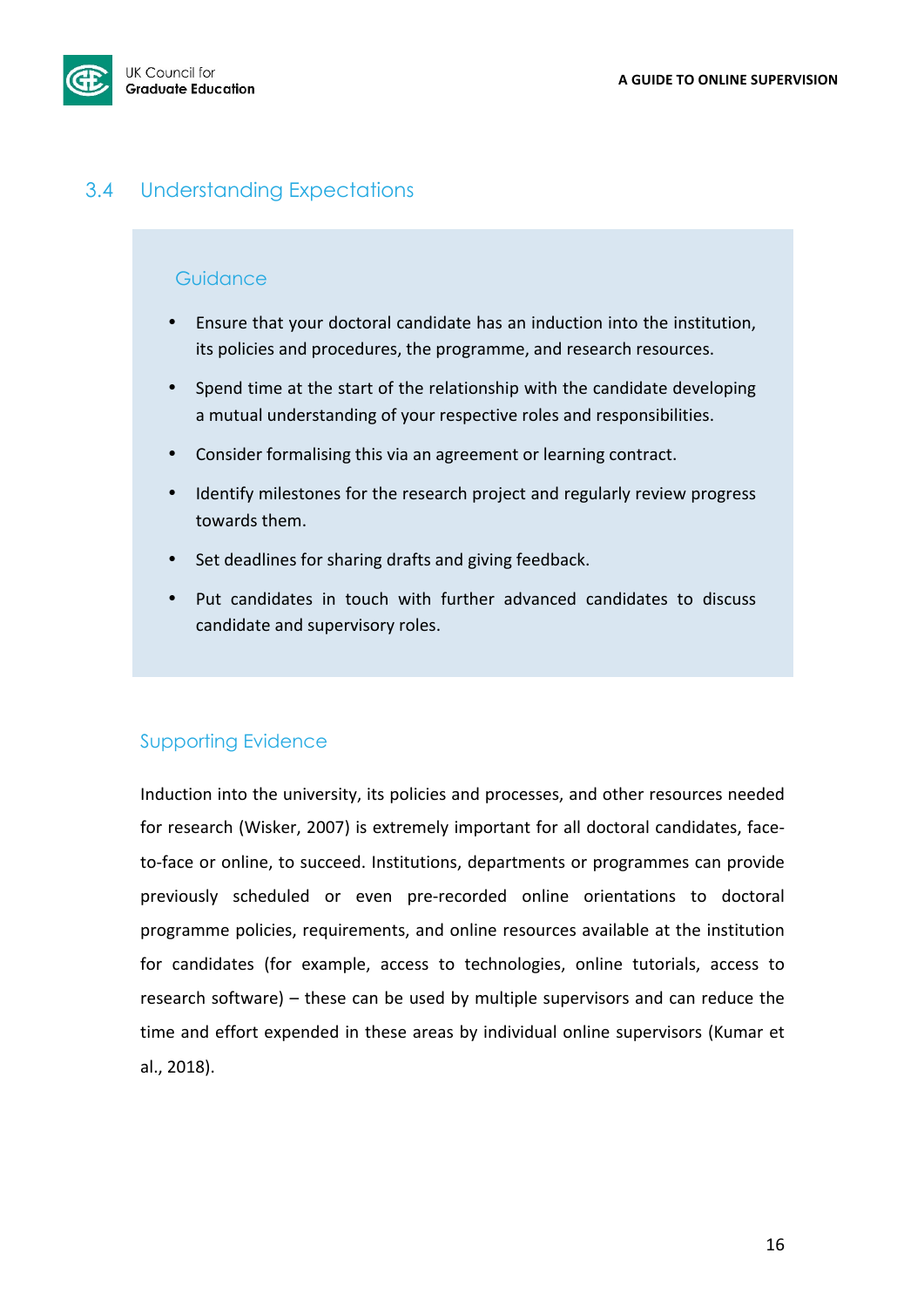

## 3.4 Understanding Expectations

### **Guidance**

- Ensure that your doctoral candidate has an induction into the institution, its policies and procedures, the programme, and research resources.
- Spend time at the start of the relationship with the candidate developing a mutual understanding of your respective roles and responsibilities.
- Consider formalising this via an agreement or learning contract.
- Identify milestones for the research project and regularly review progress towards them.
- Set deadlines for sharing drafts and giving feedback.
- Put candidates in touch with further advanced candidates to discuss candidate and supervisory roles.

## Supporting Evidence

Induction into the university, its policies and processes, and other resources needed for research (Wisker, 2007) is extremely important for all doctoral candidates, faceto-face or online, to succeed. Institutions, departments or programmes can provide previously scheduled or even pre-recorded online orientations to doctoral programme policies, requirements, and online resources available at the institution for candidates (for example, access to technologies, online tutorials, access to research software) – these can be used by multiple supervisors and can reduce the time and effort expended in these areas by individual online supervisors (Kumar et al., 2018).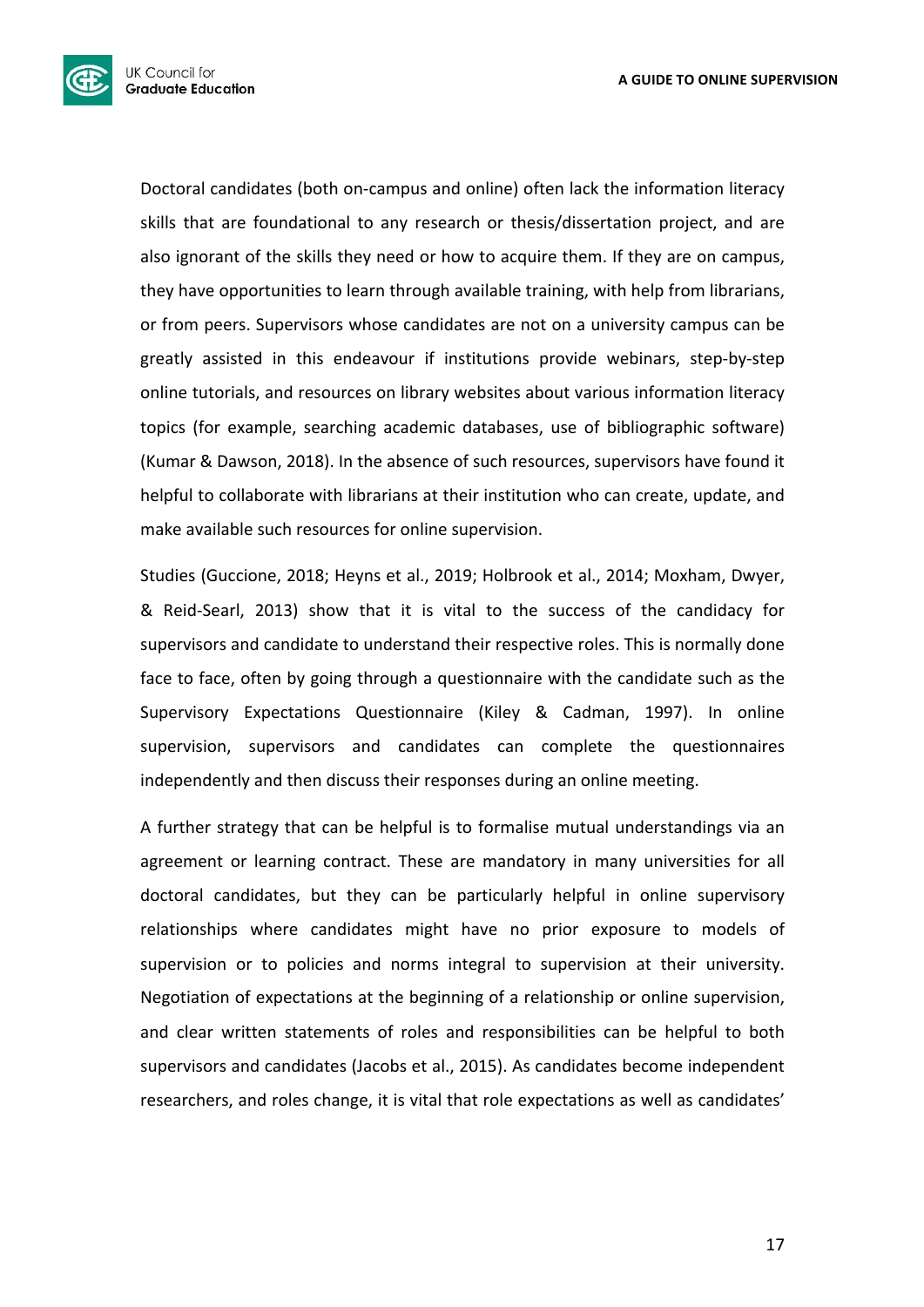

Doctoral candidates (both on-campus and online) often lack the information literacy skills that are foundational to any research or thesis/dissertation project, and are also ignorant of the skills they need or how to acquire them. If they are on campus, they have opportunities to learn through available training, with help from librarians, or from peers. Supervisors whose candidates are not on a university campus can be greatly assisted in this endeavour if institutions provide webinars, step-by-step online tutorials, and resources on library websites about various information literacy topics (for example, searching academic databases, use of bibliographic software) (Kumar & Dawson, 2018). In the absence of such resources, supervisors have found it helpful to collaborate with librarians at their institution who can create, update, and make available such resources for online supervision.

Studies (Guccione, 2018; Heyns et al., 2019; Holbrook et al., 2014; Moxham, Dwyer, & Reid-Searl, 2013) show that it is vital to the success of the candidacy for supervisors and candidate to understand their respective roles. This is normally done face to face, often by going through a questionnaire with the candidate such as the Supervisory Expectations Questionnaire (Kiley & Cadman, 1997). In online supervision, supervisors and candidates can complete the questionnaires independently and then discuss their responses during an online meeting.

A further strategy that can be helpful is to formalise mutual understandings via an agreement or learning contract. These are mandatory in many universities for all doctoral candidates, but they can be particularly helpful in online supervisory relationships where candidates might have no prior exposure to models of supervision or to policies and norms integral to supervision at their university. Negotiation of expectations at the beginning of a relationship or online supervision, and clear written statements of roles and responsibilities can be helpful to both supervisors and candidates (Jacobs et al., 2015). As candidates become independent researchers, and roles change, it is vital that role expectations as well as candidates'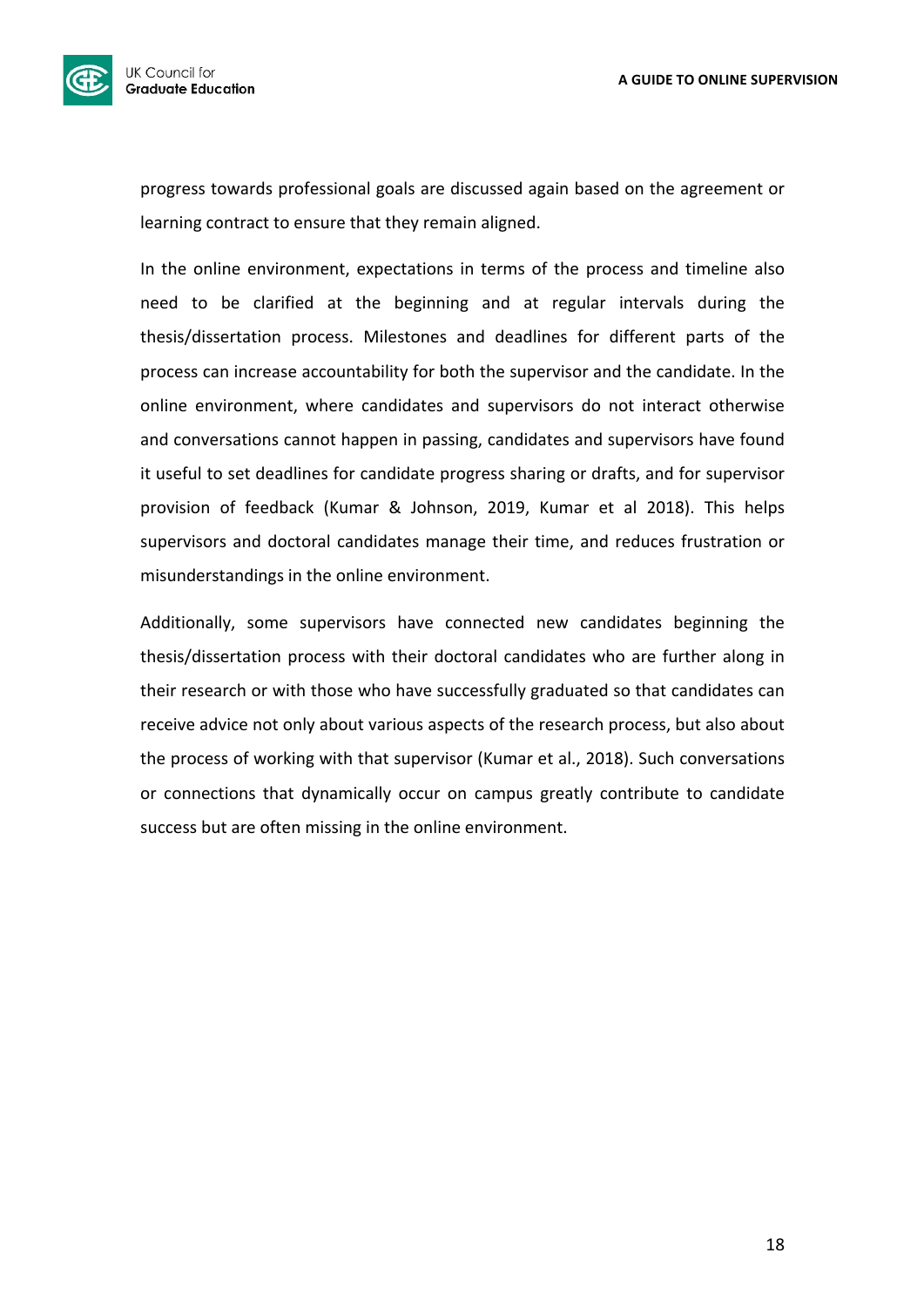

progress towards professional goals are discussed again based on the agreement or learning contract to ensure that they remain aligned.

In the online environment, expectations in terms of the process and timeline also need to be clarified at the beginning and at regular intervals during the thesis/dissertation process. Milestones and deadlines for different parts of the process can increase accountability for both the supervisor and the candidate. In the online environment, where candidates and supervisors do not interact otherwise and conversations cannot happen in passing, candidates and supervisors have found it useful to set deadlines for candidate progress sharing or drafts, and for supervisor provision of feedback (Kumar & Johnson, 2019, Kumar et al 2018). This helps supervisors and doctoral candidates manage their time, and reduces frustration or misunderstandings in the online environment.

Additionally, some supervisors have connected new candidates beginning the thesis/dissertation process with their doctoral candidates who are further along in their research or with those who have successfully graduated so that candidates can receive advice not only about various aspects of the research process, but also about the process of working with that supervisor (Kumar et al., 2018). Such conversations or connections that dynamically occur on campus greatly contribute to candidate success but are often missing in the online environment.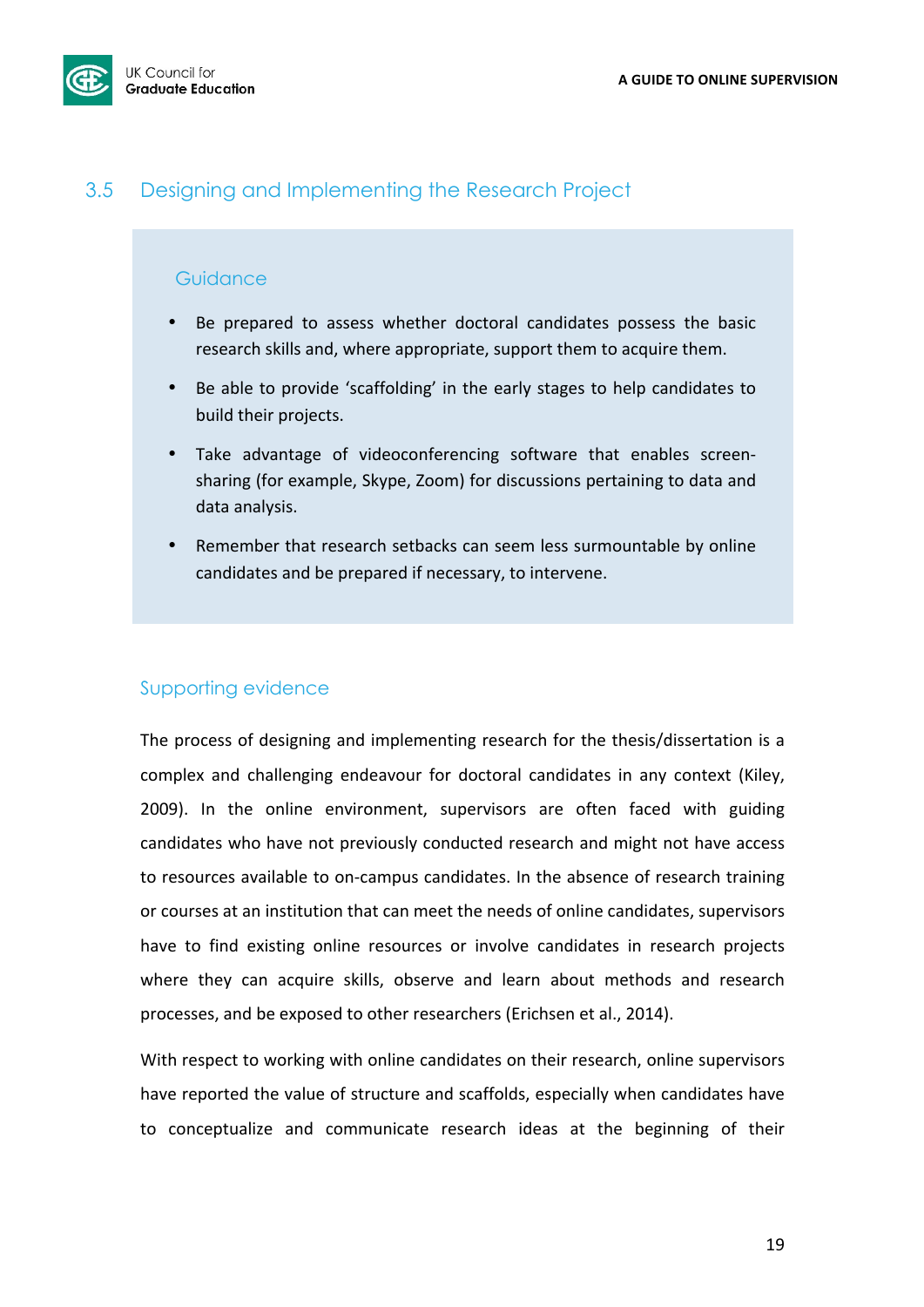

## 3.5 Designing and Implementing the Research Project

### **Guidance**

- Be prepared to assess whether doctoral candidates possess the basic research skills and, where appropriate, support them to acquire them.
- Be able to provide 'scaffolding' in the early stages to help candidates to build their projects.
- Take advantage of videoconferencing software that enables screensharing (for example, Skype, Zoom) for discussions pertaining to data and data analysis.
- Remember that research setbacks can seem less surmountable by online candidates and be prepared if necessary, to intervene.

## Supporting evidence

The process of designing and implementing research for the thesis/dissertation is a complex and challenging endeavour for doctoral candidates in any context (Kiley, 2009). In the online environment, supervisors are often faced with guiding candidates who have not previously conducted research and might not have access to resources available to on-campus candidates. In the absence of research training or courses at an institution that can meet the needs of online candidates, supervisors have to find existing online resources or involve candidates in research projects where they can acquire skills, observe and learn about methods and research processes, and be exposed to other researchers (Erichsen et al., 2014).

With respect to working with online candidates on their research, online supervisors have reported the value of structure and scaffolds, especially when candidates have to conceptualize and communicate research ideas at the beginning of their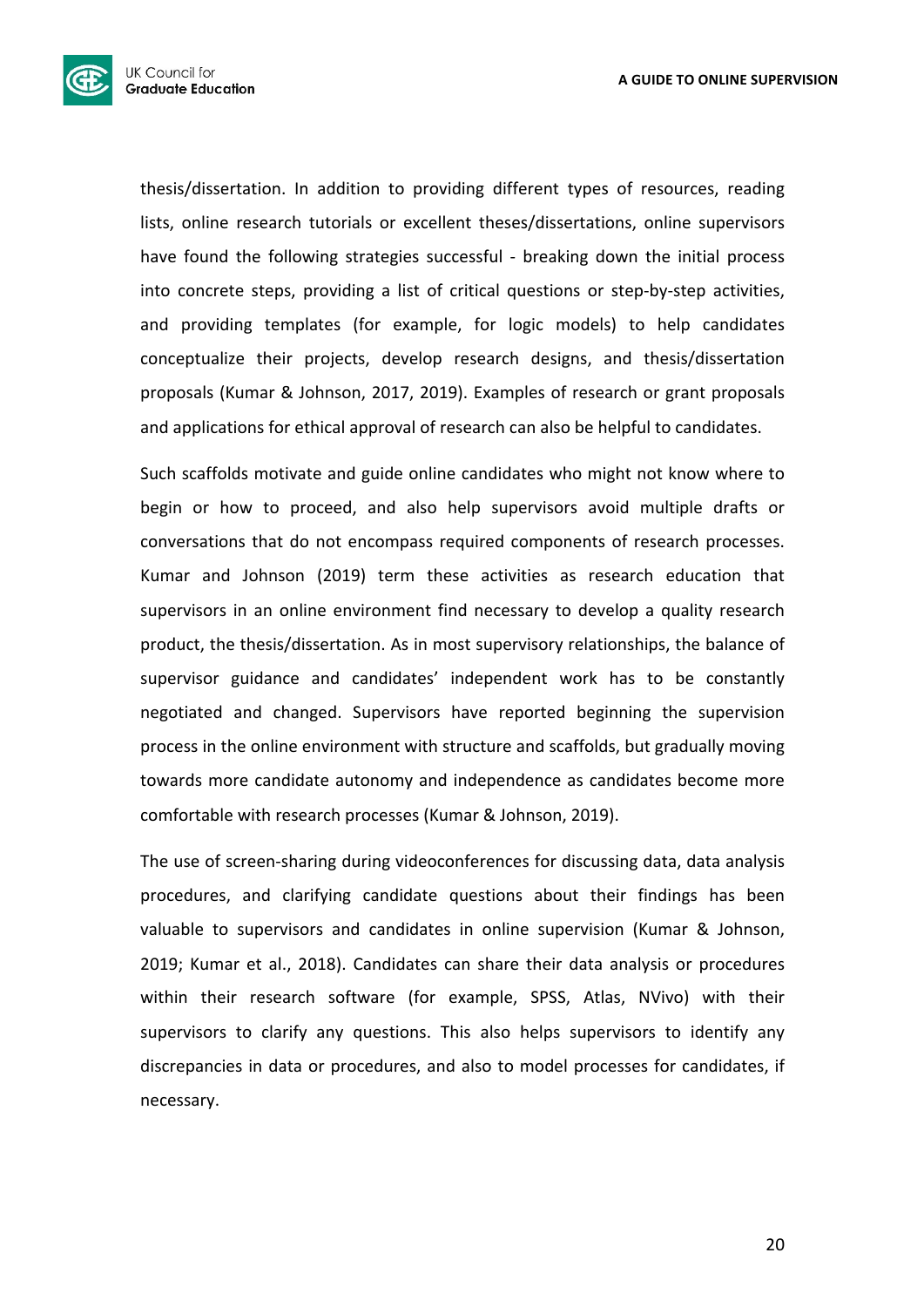

thesis/dissertation. In addition to providing different types of resources, reading lists, online research tutorials or excellent theses/dissertations, online supervisors have found the following strategies successful - breaking down the initial process into concrete steps, providing a list of critical questions or step-by-step activities, and providing templates (for example, for logic models) to help candidates conceptualize their projects, develop research designs, and thesis/dissertation proposals (Kumar & Johnson, 2017, 2019). Examples of research or grant proposals and applications for ethical approval of research can also be helpful to candidates.

Such scaffolds motivate and guide online candidates who might not know where to begin or how to proceed, and also help supervisors avoid multiple drafts or conversations that do not encompass required components of research processes. Kumar and Johnson (2019) term these activities as research education that supervisors in an online environment find necessary to develop a quality research product, the thesis/dissertation. As in most supervisory relationships, the balance of supervisor guidance and candidates' independent work has to be constantly negotiated and changed. Supervisors have reported beginning the supervision process in the online environment with structure and scaffolds, but gradually moving towards more candidate autonomy and independence as candidates become more comfortable with research processes (Kumar & Johnson, 2019).

The use of screen-sharing during videoconferences for discussing data, data analysis procedures, and clarifying candidate questions about their findings has been valuable to supervisors and candidates in online supervision (Kumar & Johnson, 2019; Kumar et al., 2018). Candidates can share their data analysis or procedures within their research software (for example, SPSS, Atlas, NVivo) with their supervisors to clarify any questions. This also helps supervisors to identify any discrepancies in data or procedures, and also to model processes for candidates, if necessary.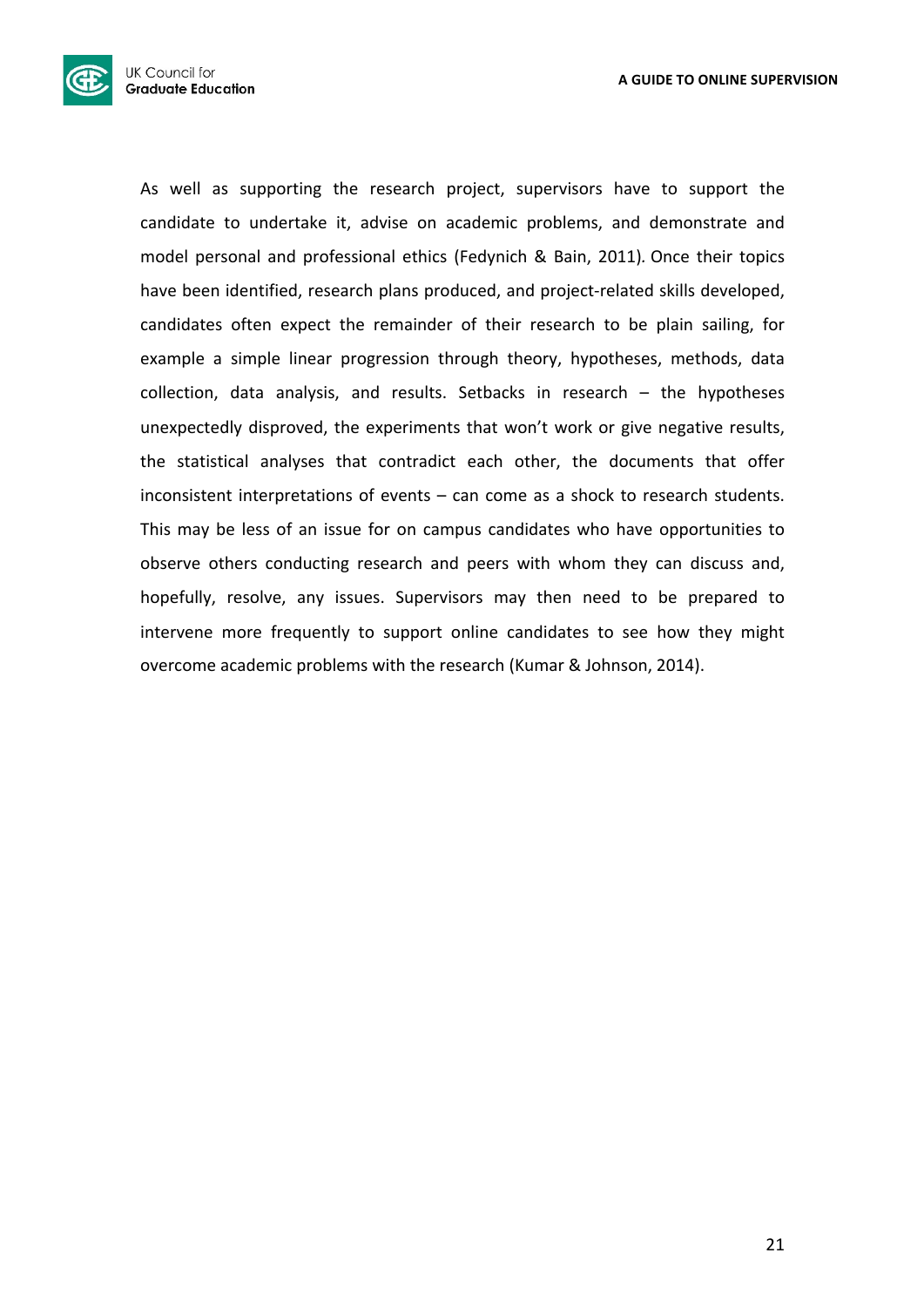

As well as supporting the research project, supervisors have to support the candidate to undertake it, advise on academic problems, and demonstrate and model personal and professional ethics (Fedynich & Bain, 2011). Once their topics have been identified, research plans produced, and project-related skills developed, candidates often expect the remainder of their research to be plain sailing, for example a simple linear progression through theory, hypotheses, methods, data collection, data analysis, and results. Setbacks in research  $-$  the hypotheses unexpectedly disproved, the experiments that won't work or give negative results, the statistical analyses that contradict each other, the documents that offer inconsistent interpretations of events  $-$  can come as a shock to research students. This may be less of an issue for on campus candidates who have opportunities to observe others conducting research and peers with whom they can discuss and, hopefully, resolve, any issues. Supervisors may then need to be prepared to intervene more frequently to support online candidates to see how they might overcome academic problems with the research (Kumar & Johnson, 2014).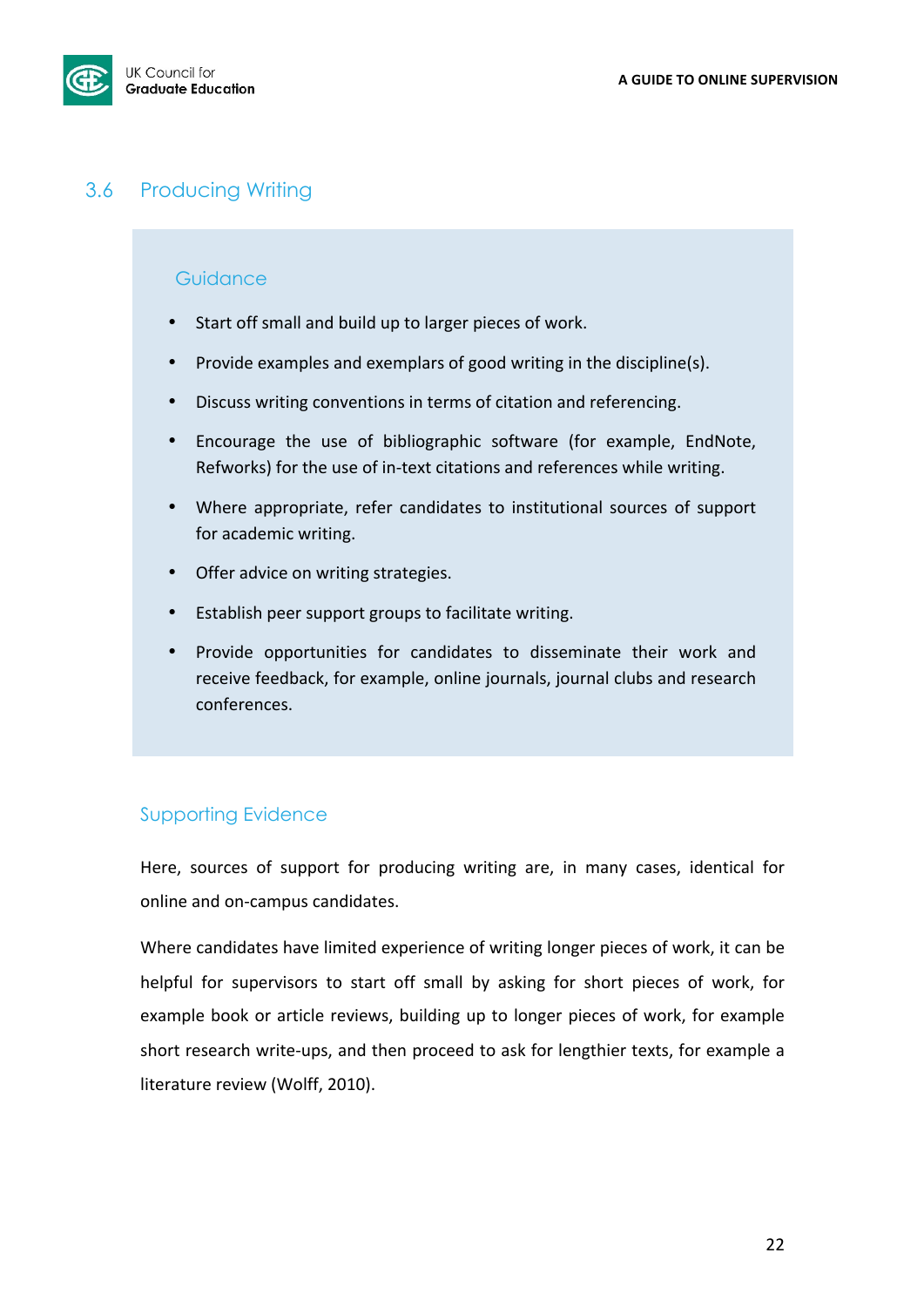

## 3.6 Producing Writing

## **Guidance**

- Start off small and build up to larger pieces of work.
- Provide examples and exemplars of good writing in the discipline(s).
- Discuss writing conventions in terms of citation and referencing.
- Encourage the use of bibliographic software (for example, EndNote, Refworks) for the use of in-text citations and references while writing.
- Where appropriate, refer candidates to institutional sources of support for academic writing.
- Offer advice on writing strategies.
- Establish peer support groups to facilitate writing.
- Provide opportunities for candidates to disseminate their work and receive feedback, for example, online journals, journal clubs and research conferences.

## Supporting Evidence

Here, sources of support for producing writing are, in many cases, identical for online and on-campus candidates.

Where candidates have limited experience of writing longer pieces of work, it can be helpful for supervisors to start off small by asking for short pieces of work, for example book or article reviews, building up to longer pieces of work, for example short research write-ups, and then proceed to ask for lengthier texts, for example a literature review (Wolff, 2010).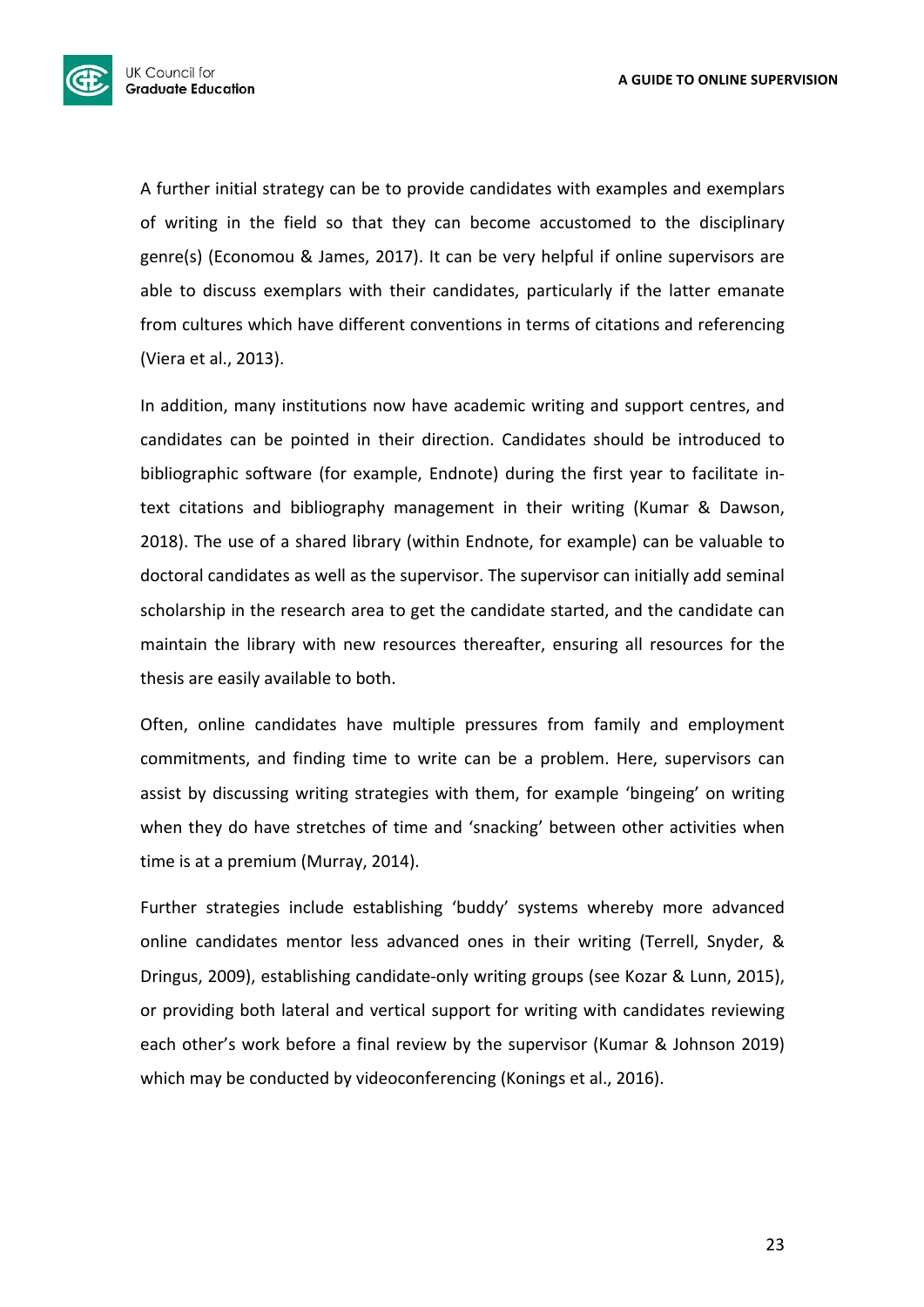

A further initial strategy can be to provide candidates with examples and exemplars of writing in the field so that they can become accustomed to the disciplinary genre(s) (Economou & James, 2017). It can be very helpful if online supervisors are able to discuss exemplars with their candidates, particularly if the latter emanate from cultures which have different conventions in terms of citations and referencing (Viera et al., 2013).

In addition, many institutions now have academic writing and support centres, and candidates can be pointed in their direction. Candidates should be introduced to bibliographic software (for example, Endnote) during the first year to facilitate intext citations and bibliography management in their writing (Kumar & Dawson, 2018). The use of a shared library (within Endnote, for example) can be valuable to doctoral candidates as well as the supervisor. The supervisor can initially add seminal scholarship in the research area to get the candidate started, and the candidate can maintain the library with new resources thereafter, ensuring all resources for the thesis are easily available to both.

Often, online candidates have multiple pressures from family and employment commitments, and finding time to write can be a problem. Here, supervisors can assist by discussing writing strategies with them, for example 'bingeing' on writing when they do have stretches of time and 'snacking' between other activities when time is at a premium (Murray, 2014).

Further strategies include establishing 'buddy' systems whereby more advanced online candidates mentor less advanced ones in their writing (Terrell, Snyder, & Dringus, 2009), establishing candidate-only writing groups (see Kozar & Lunn, 2015), or providing both lateral and vertical support for writing with candidates reviewing each other's work before a final review by the supervisor (Kumar & Johnson 2019) which may be conducted by videoconferencing (Konings et al., 2016).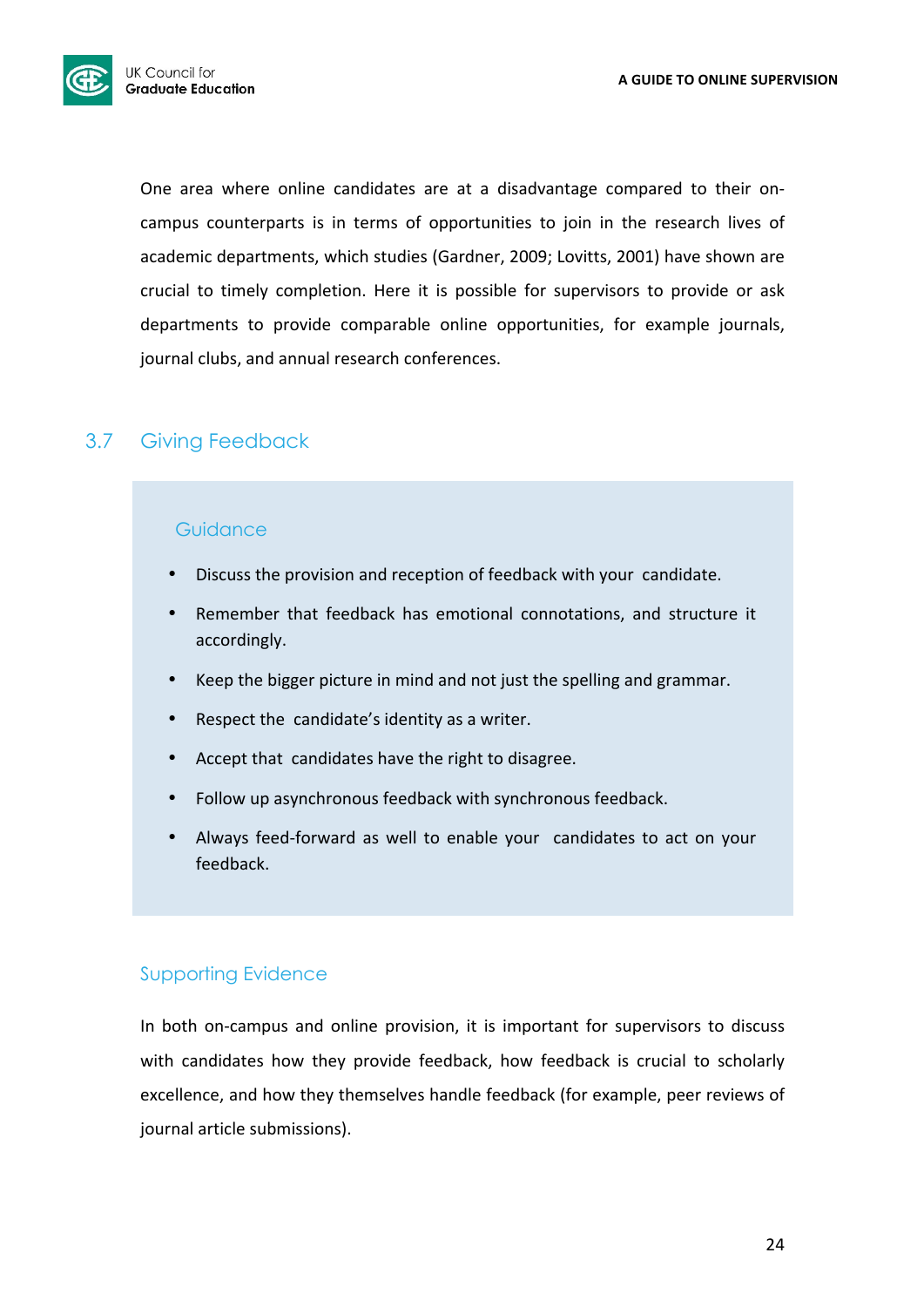

One area where online candidates are at a disadvantage compared to their oncampus counterparts is in terms of opportunities to join in the research lives of academic departments, which studies (Gardner, 2009; Lovitts, 2001) have shown are crucial to timely completion. Here it is possible for supervisors to provide or ask departments to provide comparable online opportunities, for example journals, journal clubs, and annual research conferences.

## 3.7 Giving Feedback

### **Guidance**

- Discuss the provision and reception of feedback with your candidate.
- Remember that feedback has emotional connotations, and structure it accordingly.
- Keep the bigger picture in mind and not just the spelling and grammar.
- Respect the candidate's identity as a writer.
- Accept that candidates have the right to disagree.
- Follow up asynchronous feedback with synchronous feedback.
- Always feed-forward as well to enable your candidates to act on your feedback.

## Supporting Evidence

In both on-campus and online provision, it is important for supervisors to discuss with candidates how they provide feedback, how feedback is crucial to scholarly excellence, and how they themselves handle feedback (for example, peer reviews of journal article submissions).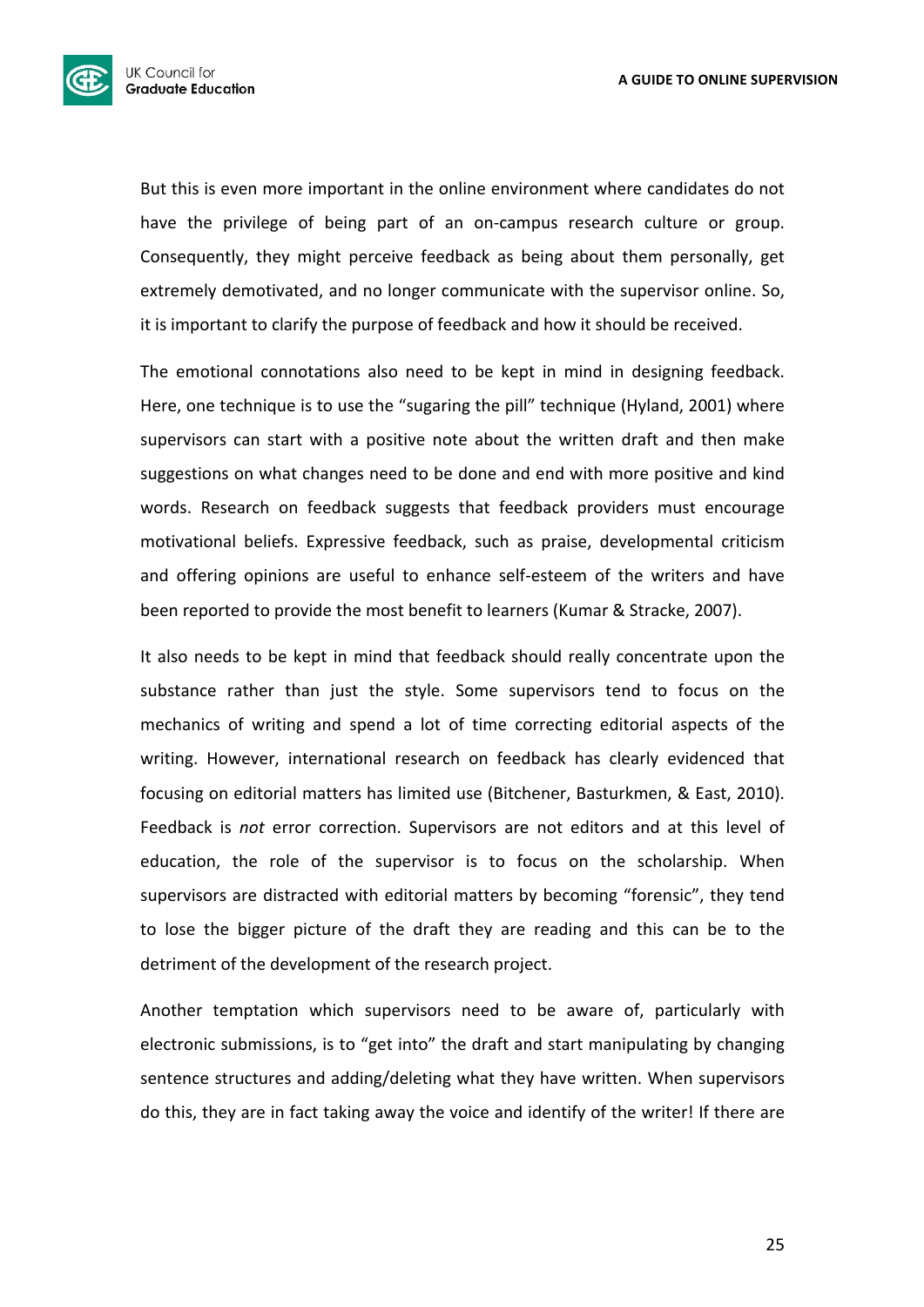

But this is even more important in the online environment where candidates do not have the privilege of being part of an on-campus research culture or group. Consequently, they might perceive feedback as being about them personally, get extremely demotivated, and no longer communicate with the supervisor online. So, it is important to clarify the purpose of feedback and how it should be received.

The emotional connotations also need to be kept in mind in designing feedback. Here, one technique is to use the "sugaring the pill" technique (Hyland, 2001) where supervisors can start with a positive note about the written draft and then make suggestions on what changes need to be done and end with more positive and kind words. Research on feedback suggests that feedback providers must encourage motivational beliefs. Expressive feedback, such as praise, developmental criticism and offering opinions are useful to enhance self-esteem of the writers and have been reported to provide the most benefit to learners (Kumar & Stracke, 2007).

It also needs to be kept in mind that feedback should really concentrate upon the substance rather than just the style. Some supervisors tend to focus on the mechanics of writing and spend a lot of time correcting editorial aspects of the writing. However, international research on feedback has clearly evidenced that focusing on editorial matters has limited use (Bitchener, Basturkmen, & East, 2010). Feedback is not error correction. Supervisors are not editors and at this level of education, the role of the supervisor is to focus on the scholarship. When supervisors are distracted with editorial matters by becoming "forensic", they tend to lose the bigger picture of the draft they are reading and this can be to the detriment of the development of the research project.

Another temptation which supervisors need to be aware of, particularly with electronic submissions, is to "get into" the draft and start manipulating by changing sentence structures and adding/deleting what they have written. When supervisors do this, they are in fact taking away the voice and identify of the writer! If there are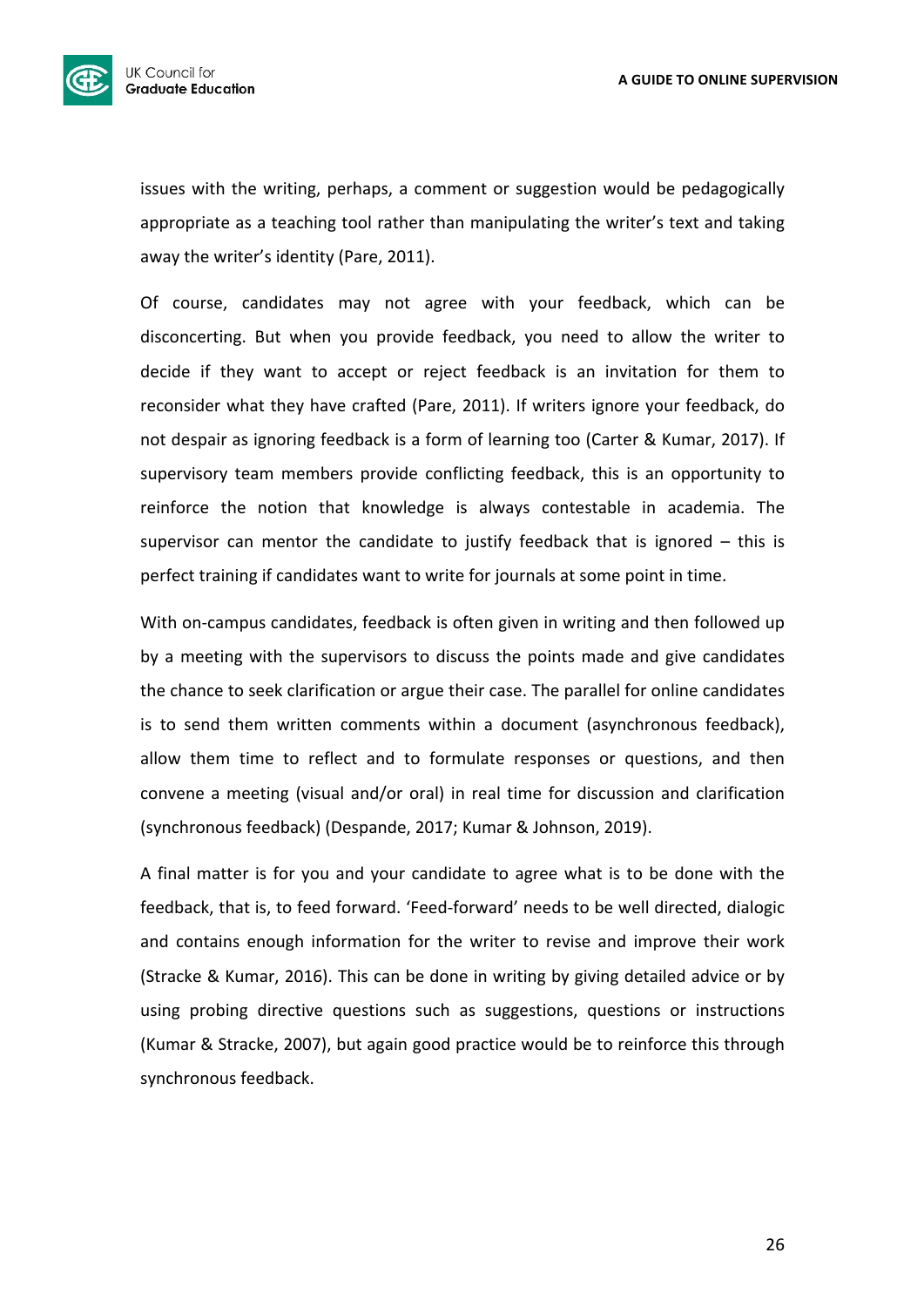

issues with the writing, perhaps, a comment or suggestion would be pedagogically appropriate as a teaching tool rather than manipulating the writer's text and taking away the writer's identity (Pare, 2011).

Of course, candidates may not agree with your feedback, which can be disconcerting. But when you provide feedback, you need to allow the writer to decide if they want to accept or reject feedback is an invitation for them to reconsider what they have crafted (Pare, 2011). If writers ignore your feedback, do not despair as ignoring feedback is a form of learning too (Carter & Kumar, 2017). If supervisory team members provide conflicting feedback, this is an opportunity to reinforce the notion that knowledge is always contestable in academia. The supervisor can mentor the candidate to justify feedback that is ignored  $-$  this is perfect training if candidates want to write for journals at some point in time.

With on-campus candidates, feedback is often given in writing and then followed up by a meeting with the supervisors to discuss the points made and give candidates the chance to seek clarification or argue their case. The parallel for online candidates is to send them written comments within a document (asynchronous feedback), allow them time to reflect and to formulate responses or questions, and then convene a meeting (visual and/or oral) in real time for discussion and clarification (synchronous feedback) (Despande, 2017; Kumar & Johnson, 2019).

A final matter is for you and your candidate to agree what is to be done with the feedback, that is, to feed forward. 'Feed-forward' needs to be well directed, dialogic and contains enough information for the writer to revise and improve their work (Stracke & Kumar, 2016). This can be done in writing by giving detailed advice or by using probing directive questions such as suggestions, questions or instructions (Kumar & Stracke, 2007), but again good practice would be to reinforce this through synchronous feedback.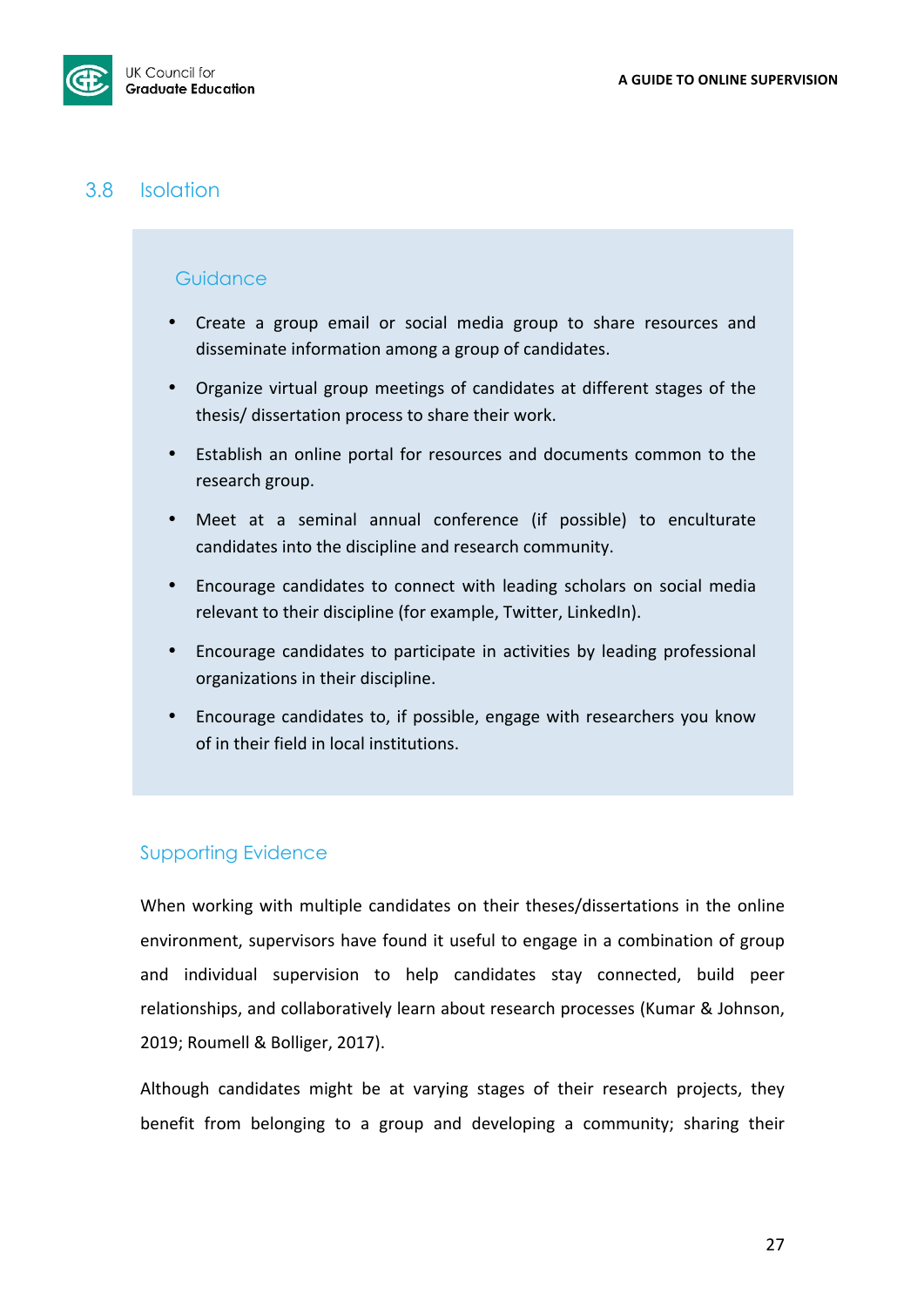

## 3.8 Isolation

## **Guidance**

- Create a group email or social media group to share resources and disseminate information among a group of candidates.
- Organize virtual group meetings of candidates at different stages of the thesis/ dissertation process to share their work.
- Establish an online portal for resources and documents common to the research group.
- Meet at a seminal annual conference (if possible) to enculturate candidates into the discipline and research community.
- Encourage candidates to connect with leading scholars on social media relevant to their discipline (for example, Twitter, LinkedIn).
- Encourage candidates to participate in activities by leading professional organizations in their discipline.
- Encourage candidates to, if possible, engage with researchers you know of in their field in local institutions.

## Supporting Evidence

When working with multiple candidates on their theses/dissertations in the online environment, supervisors have found it useful to engage in a combination of group and individual supervision to help candidates stay connected, build peer relationships, and collaboratively learn about research processes (Kumar & Johnson, 2019; Roumell & Bolliger, 2017).

Although candidates might be at varying stages of their research projects, they benefit from belonging to a group and developing a community; sharing their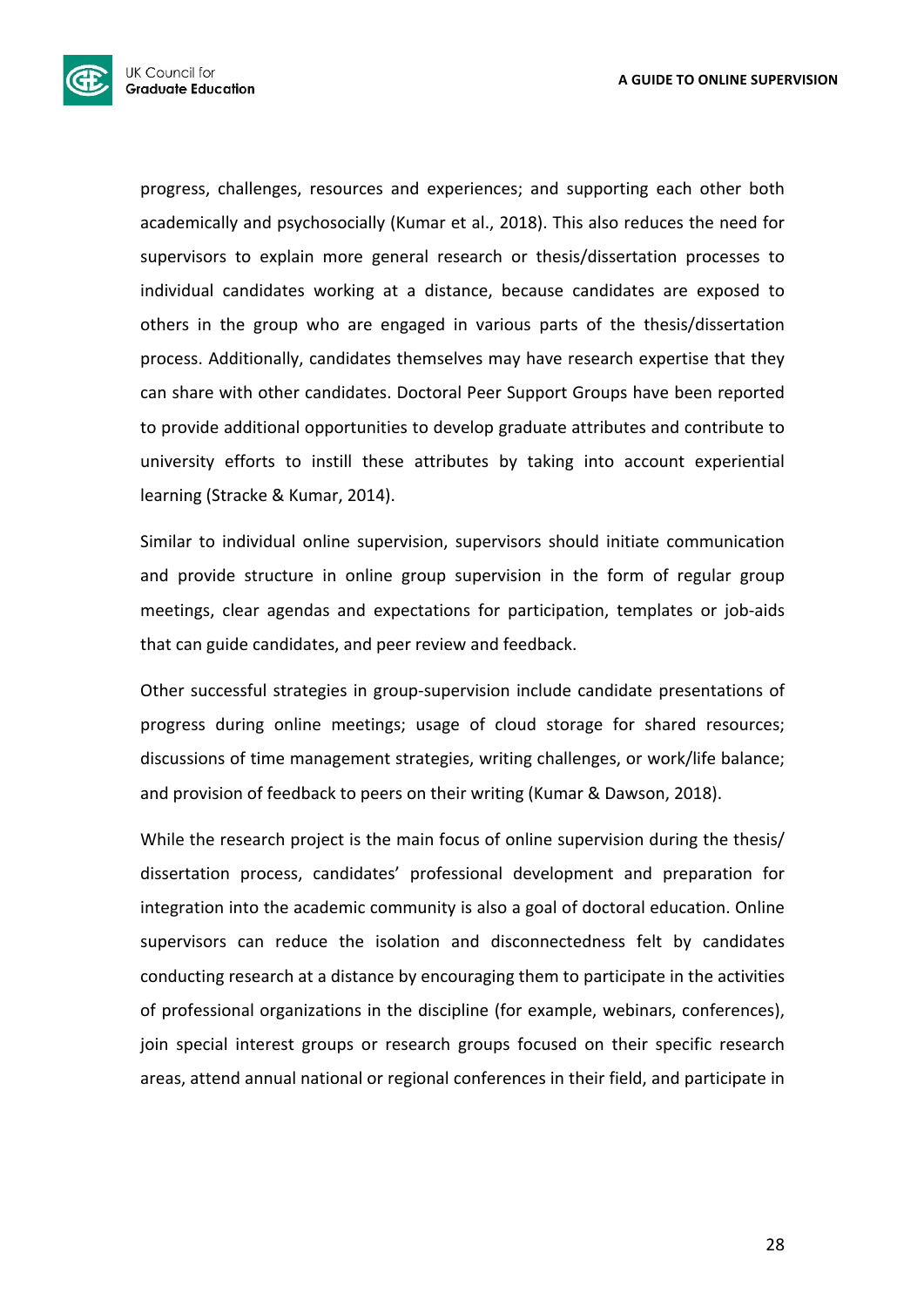

progress, challenges, resources and experiences; and supporting each other both academically and psychosocially (Kumar et al., 2018). This also reduces the need for supervisors to explain more general research or thesis/dissertation processes to individual candidates working at a distance, because candidates are exposed to others in the group who are engaged in various parts of the thesis/dissertation process. Additionally, candidates themselves may have research expertise that they can share with other candidates. Doctoral Peer Support Groups have been reported to provide additional opportunities to develop graduate attributes and contribute to university efforts to instill these attributes by taking into account experiential learning (Stracke & Kumar, 2014).

Similar to individual online supervision, supervisors should initiate communication and provide structure in online group supervision in the form of regular group meetings, clear agendas and expectations for participation, templates or job-aids that can guide candidates, and peer review and feedback.

Other successful strategies in group-supervision include candidate presentations of progress during online meetings; usage of cloud storage for shared resources; discussions of time management strategies, writing challenges, or work/life balance; and provision of feedback to peers on their writing (Kumar & Dawson, 2018).

While the research project is the main focus of online supervision during the thesis/ dissertation process, candidates' professional development and preparation for integration into the academic community is also a goal of doctoral education. Online supervisors can reduce the isolation and disconnectedness felt by candidates conducting research at a distance by encouraging them to participate in the activities of professional organizations in the discipline (for example, webinars, conferences), join special interest groups or research groups focused on their specific research areas, attend annual national or regional conferences in their field, and participate in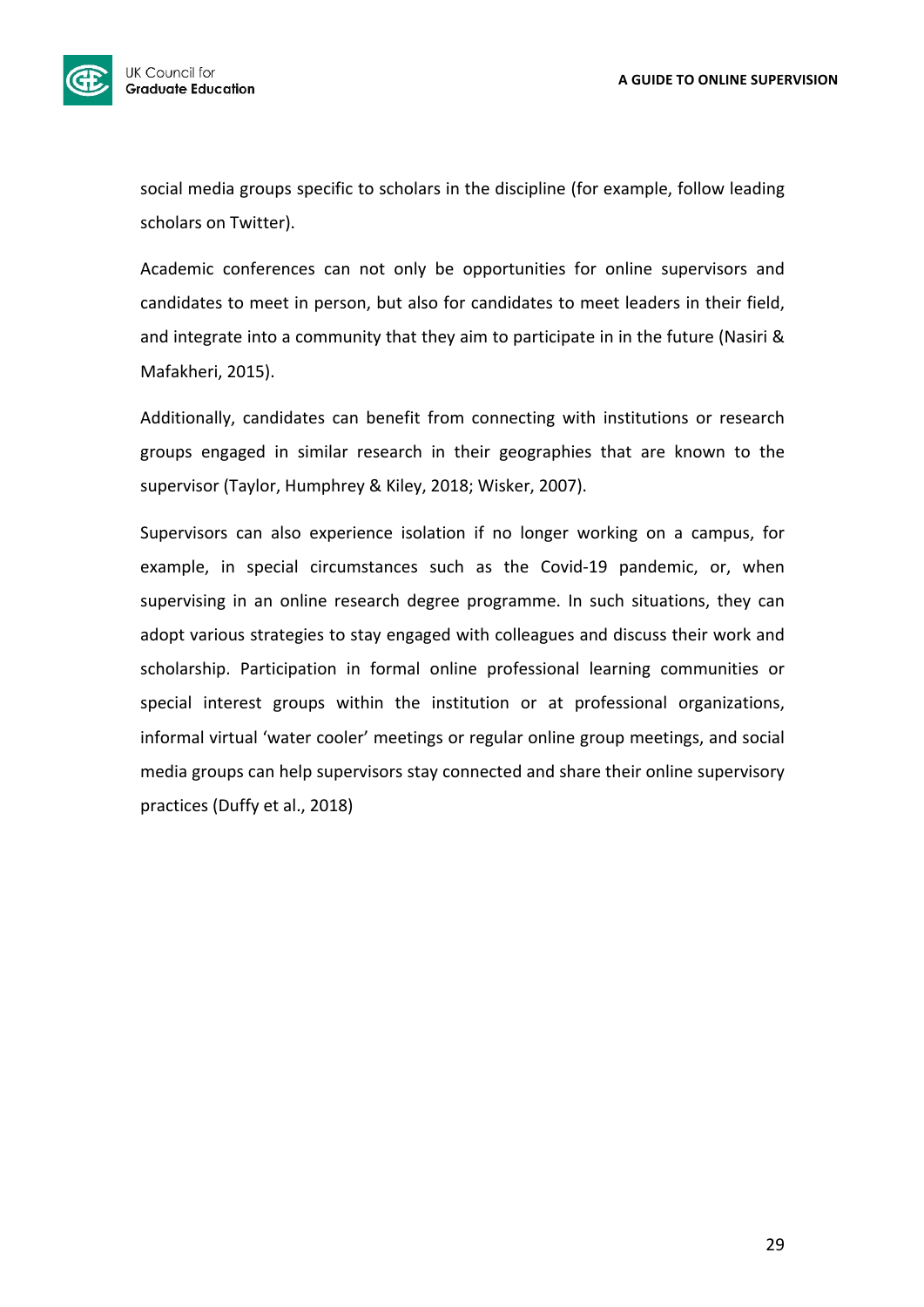

social media groups specific to scholars in the discipline (for example, follow leading scholars on Twitter).

Academic conferences can not only be opportunities for online supervisors and candidates to meet in person, but also for candidates to meet leaders in their field, and integrate into a community that they aim to participate in in the future (Nasiri & Mafakheri, 2015).

Additionally, candidates can benefit from connecting with institutions or research groups engaged in similar research in their geographies that are known to the supervisor (Taylor, Humphrey & Kiley, 2018; Wisker, 2007).

Supervisors can also experience isolation if no longer working on a campus, for example, in special circumstances such as the Covid-19 pandemic, or, when supervising in an online research degree programme. In such situations, they can adopt various strategies to stay engaged with colleagues and discuss their work and scholarship. Participation in formal online professional learning communities or special interest groups within the institution or at professional organizations, informal virtual 'water cooler' meetings or regular online group meetings, and social media groups can help supervisors stay connected and share their online supervisory practices (Duffy et al., 2018)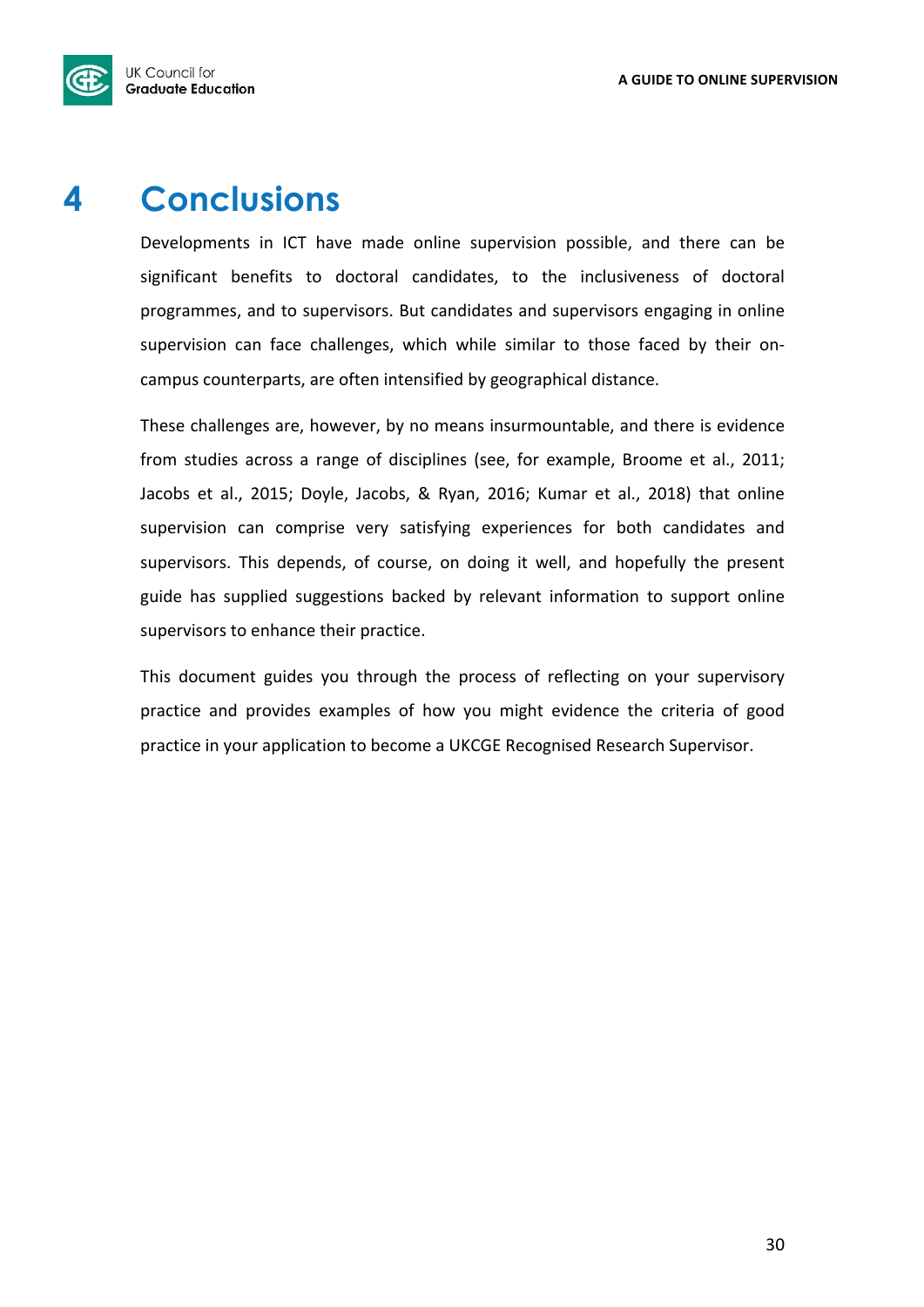

## **4 Conclusions**

Developments in ICT have made online supervision possible, and there can be significant benefits to doctoral candidates, to the inclusiveness of doctoral programmes, and to supervisors. But candidates and supervisors engaging in online supervision can face challenges, which while similar to those faced by their oncampus counterparts, are often intensified by geographical distance.

These challenges are, however, by no means insurmountable, and there is evidence from studies across a range of disciplines (see, for example, Broome et al., 2011; Jacobs et al., 2015; Doyle, Jacobs, & Ryan, 2016; Kumar et al., 2018) that online supervision can comprise very satisfying experiences for both candidates and supervisors. This depends, of course, on doing it well, and hopefully the present guide has supplied suggestions backed by relevant information to support online supervisors to enhance their practice.

This document guides you through the process of reflecting on your supervisory practice and provides examples of how you might evidence the criteria of good practice in your application to become a UKCGE Recognised Research Supervisor.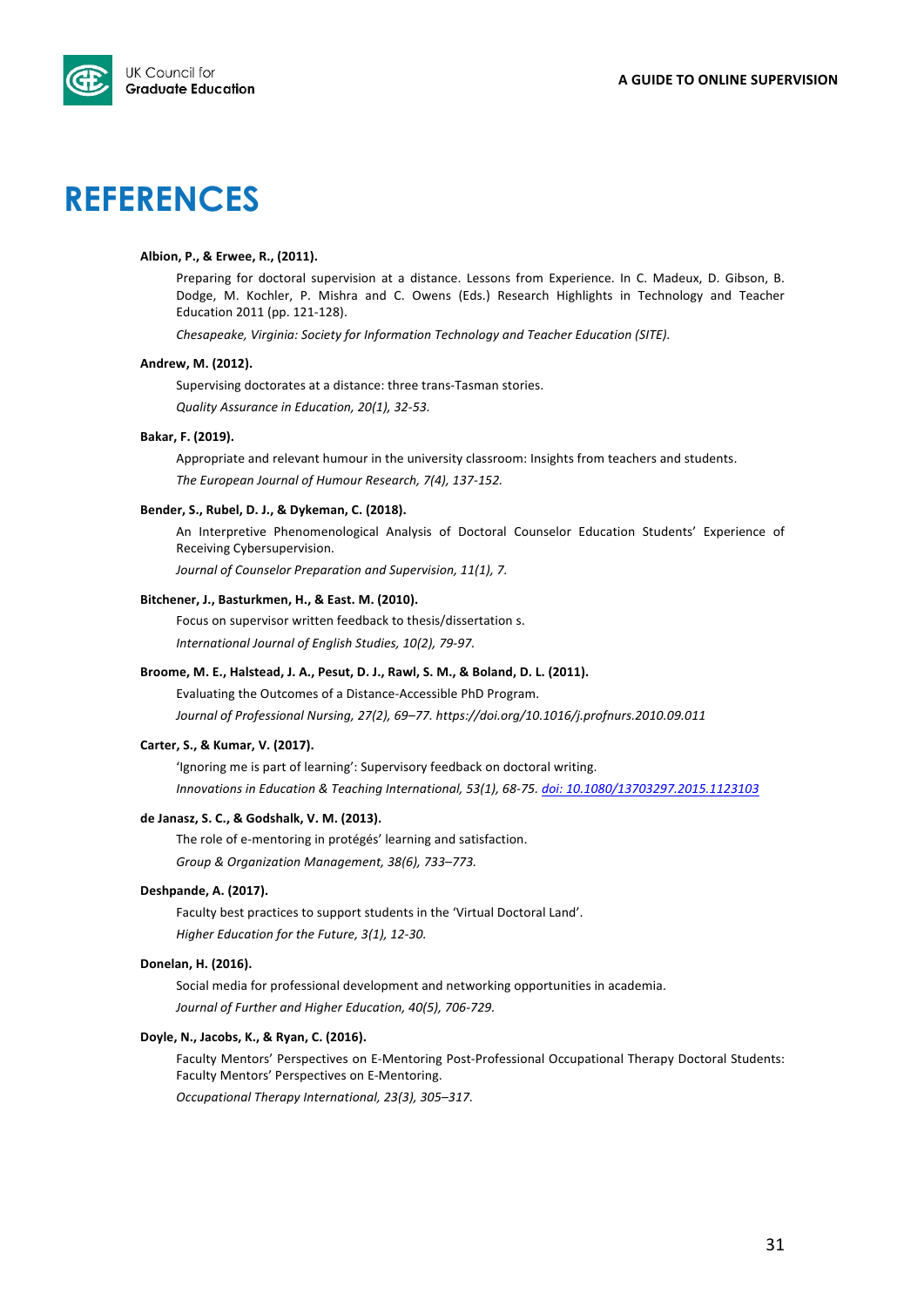

## **REFERENCES**

#### Albion, P., & Erwee, R., (2011).

Preparing for doctoral supervision at a distance. Lessons from Experience. In C. Madeux, D. Gibson, B. Dodge, M. Kochler, P. Mishra and C. Owens (Eds.) Research Highlights in Technology and Teacher Education 2011 (pp. 121-128).

*Chesapeake, Virginia: Society for Information Technology and Teacher Education (SITE).* 

#### Andrew, M. (2012).

Supervising doctorates at a distance: three trans-Tasman stories. *Quality Assurance in Education, 20(1), 32-53.*

#### **Bakar, F. (2019).**

Appropriate and relevant humour in the university classroom: Insights from teachers and students. The European Journal of Humour Research, 7(4), 137-152.

#### Bender, S., Rubel, D. J., & Dykeman, C. (2018).

An Interpretive Phenomenological Analysis of Doctoral Counselor Education Students' Experience of Receiving Cybersupervision.

*Journal of Counselor Preparation and Supervision, 11(1), 7.* 

#### Bitchener, J., Basturkmen, H., & East. M. (2010).

Focus on supervisor written feedback to thesis/dissertation s.

International Journal of English Studies, 10(2), 79-97.

#### Broome, M. E., Halstead, J. A., Pesut, D. J., Rawl, S. M., & Boland, D. L. (2011).

Evaluating the Outcomes of a Distance-Accessible PhD Program. Journal of Professional Nursing, 27(2), 69-77. https://doi.org/10.1016/j.profnurs.2010.09.011

#### Carter, S., & Kumar, V. (2017).

'Ignoring me is part of learning': Supervisory feedback on doctoral writing. *Innovations in Education & Teaching International, 53(1), 68-75. doi: 10.1080/13703297.2015.1123103* 

#### de Janasz, S. C., & Godshalk, V. M. (2013).

The role of e-mentoring in protégés' learning and satisfaction. *Group & Organization Management, 38(6), 733–773.*

#### **Deshpande, A. (2017).**

Faculty best practices to support students in the 'Virtual Doctoral Land'. *Higher Education for the Future, 3(1), 12-30.* 

#### Donelan, H. (2016).

Social media for professional development and networking opportunities in academia. Journal of Further and Higher Education, 40(5), 706-729.

#### Doyle, N., Jacobs, K., & Ryan, C. (2016).

Faculty Mentors' Perspectives on E-Mentoring Post-Professional Occupational Therapy Doctoral Students: Faculty Mentors' Perspectives on E-Mentoring.

*Occupational Therapy International, 23(3), 305–317.*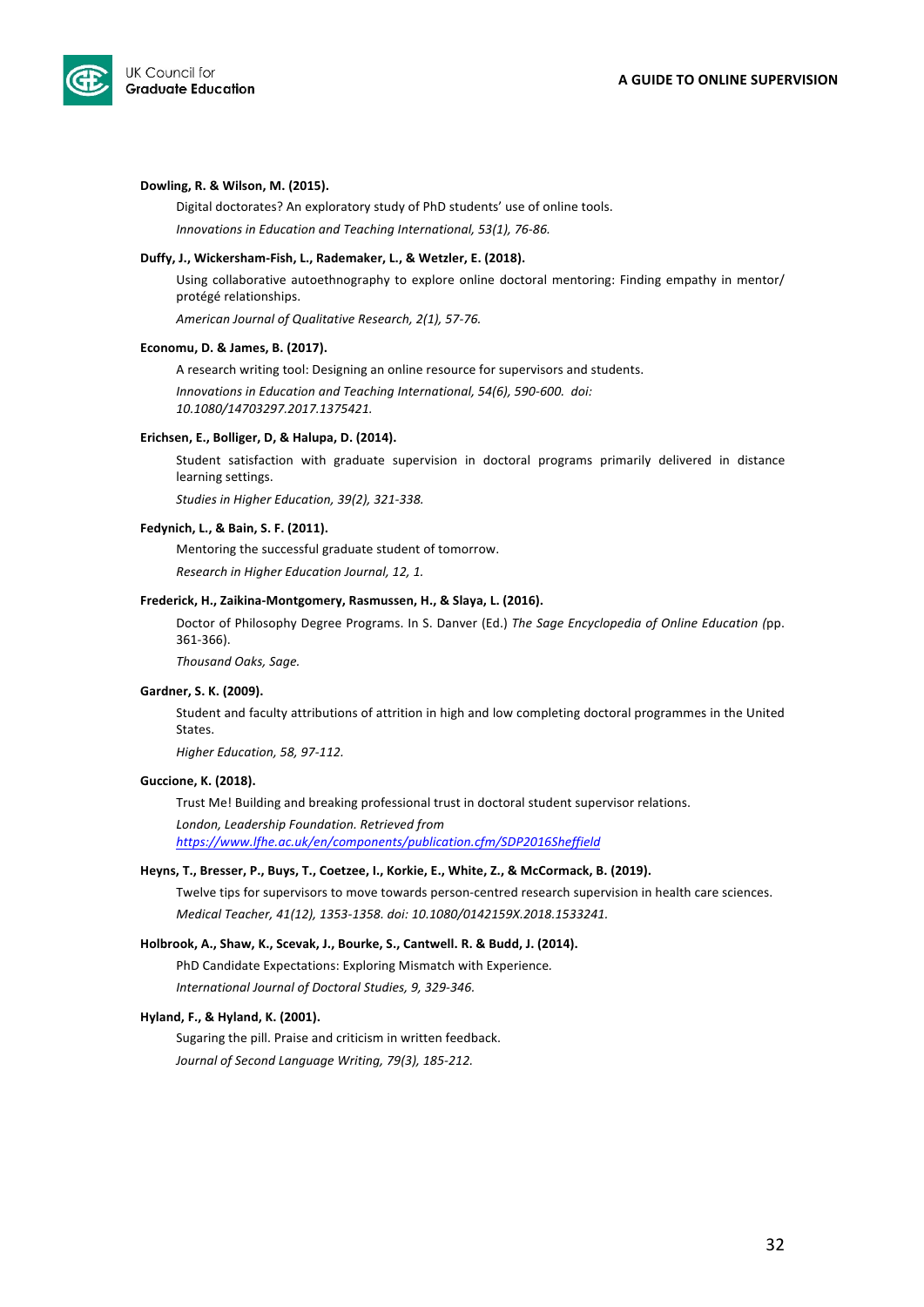

#### Dowling, R. & Wilson, M. (2015).

Digital doctorates? An exploratory study of PhD students' use of online tools. *Innovations in Education and Teaching International, 53(1), 76-86.* 

#### Duffy, J., Wickersham-Fish, L., Rademaker, L., & Wetzler, E. (2018).

Using collaborative autoethnography to explore online doctoral mentoring: Finding empathy in mentor/ protégé relationships.

*American Journal of Qualitative Research, 2(1), 57-76.*

#### **Economu, D. & James, B. (2017).**

A research writing tool: Designing an online resource for supervisors and students. Innovations in Education and Teaching International, 54(6), 590-600. doi: *10.1080/14703297.2017.1375421.*

#### Erichsen, E., Bolliger, D, & Halupa, D. (2014).

Student satisfaction with graduate supervision in doctoral programs primarily delivered in distance learning settings.

Studies in Higher Education, 39(2), 321-338.

#### Fedynich, L., & Bain, S. F. (2011).

Mentoring the successful graduate student of tomorrow. *Research in Higher Education Journal, 12, 1.* 

#### Frederick, H., Zaikina-Montgomery, Rasmussen, H., & Slaya, L. (2016).

Doctor of Philosophy Degree Programs. In S. Danver (Ed.) *The Sage Encyclopedia of Online Education (pp.* 361-366). 

*Thousand Oaks, Sage.*

#### Gardner, S. K. (2009).

Student and faculty attributions of attrition in high and low completing doctoral programmes in the United States. 

*Higher Education, 58, 97-112.*

#### Guccione, K. (2018).

Trust Me! Building and breaking professional trust in doctoral student supervisor relations.

*London, Leadership Foundation. Retrieved from https://www.lfhe.ac.uk/en/components/publication.cfm/SDP2016Sheffield*

#### Heyns, T., Bresser, P., Buys, T., Coetzee, I., Korkie, E., White, Z., & McCormack, B. (2019).

Twelve tips for supervisors to move towards person-centred research supervision in health care sciences. *Medical Teacher, 41(12), 1353-1358. doi: 10.1080/0142159X.2018.1533241.*

#### Holbrook, A., Shaw, K., Scevak, J., Bourke, S., Cantwell. R. & Budd, J. (2014).

PhD Candidate Expectations: Exploring Mismatch with Experience. *International Journal of Doctoral Studies, 9, 329-346.* 

#### **Hyland, F., & Hyland, K. (2001).**

Sugaring the pill. Praise and criticism in written feedback. *Journal of Second Language Writing, 79(3), 185-212.*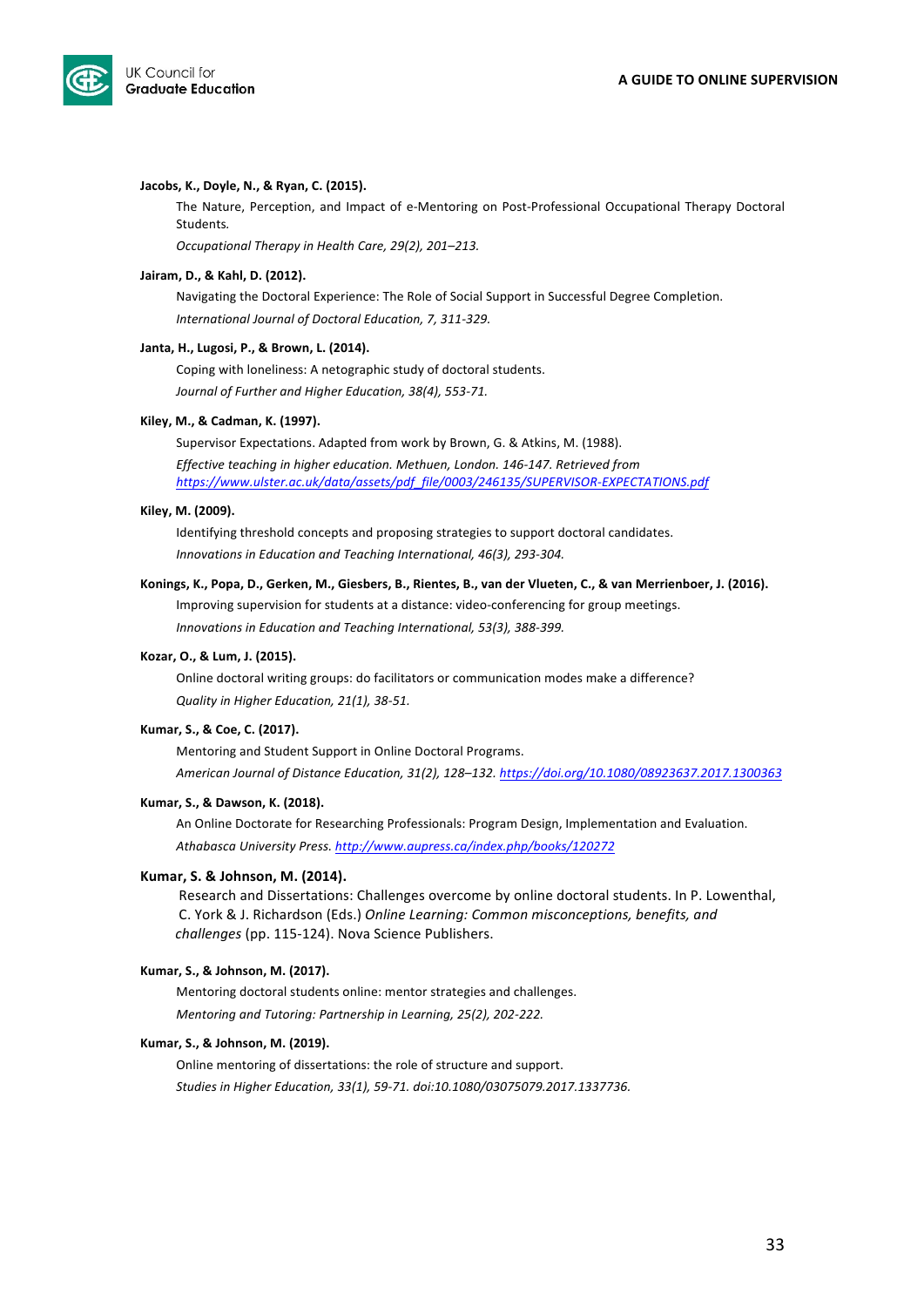

#### Jacobs, K., Doyle, N., & Ryan, C. (2015).

The Nature, Perception, and Impact of e-Mentoring on Post-Professional Occupational Therapy Doctoral Students*.* 

*Occupational Therapy in Health Care, 29(2), 201–213.*

#### Jairam, D., & Kahl, D. (2012).

Navigating the Doctoral Experience: The Role of Social Support in Successful Degree Completion. *International Journal of Doctoral Education, 7, 311-329.*

#### Janta, H., Lugosi, P., & Brown, L. (2014).

Coping with loneliness: A netographic study of doctoral students. Journal of Further and Higher Education, 38(4), 553-71.

#### Kiley, M., & Cadman, K. (1997).

Supervisor Expectations. Adapted from work by Brown, G. & Atkins, M. (1988). Effective teaching in higher education. Methuen, London. 146-147. Retrieved from *https://www.ulster.ac.uk/data/assets/pdf\_file/0003/246135/SUPERVISOR-EXPECTATIONS.pdf*

#### Kiley, M. (2009).

Identifying threshold concepts and proposing strategies to support doctoral candidates. *Innovations in Education and Teaching International, 46(3), 293-304.* 

Konings, K., Popa, D., Gerken, M., Giesbers, B., Rientes, B., van der Vlueten, C., & van Merrienboer, J. (2016). Improving supervision for students at a distance: video-conferencing for group meetings.

*Innovations in Education and Teaching International, 53(3), 388-399.* 

#### **Kozar, O., & Lum, J. (2015).**

Online doctoral writing groups: do facilitators or communication modes make a difference? *Quality in Higher Education, 21(1), 38-51.* 

#### **Kumar, S., & Coe, C. (2017).**

Mentoring and Student Support in Online Doctoral Programs. *American Journal of Distance Education, 31(2), 128–132. https://doi.org/10.1080/08923637.2017.1300363*

#### Kumar, S., & Dawson, K. (2018).

An Online Doctorate for Researching Professionals: Program Design, Implementation and Evaluation. *Athabasca University Press. http://www.aupress.ca/index.php/books/120272*

#### **Kumar, S. & Johnson, M. (2014).**

Research and Dissertations: Challenges overcome by online doctoral students. In P. Lowenthal, C. York & J. Richardson (Eds.) Online Learning: Common misconceptions, benefits, and *challenges* (pp. 115-124). Nova Science Publishers.

#### **Kumar, S., & Johnson, M. (2017).**

Mentoring doctoral students online: mentor strategies and challenges. *Mentoring and Tutoring: Partnership in Learning, 25(2), 202-222.* 

#### **Kumar, S., & Johnson, M. (2019).**

Online mentoring of dissertations: the role of structure and support. Studies in Higher Education, 33(1), 59-71. doi:10.1080/03075079.2017.1337736.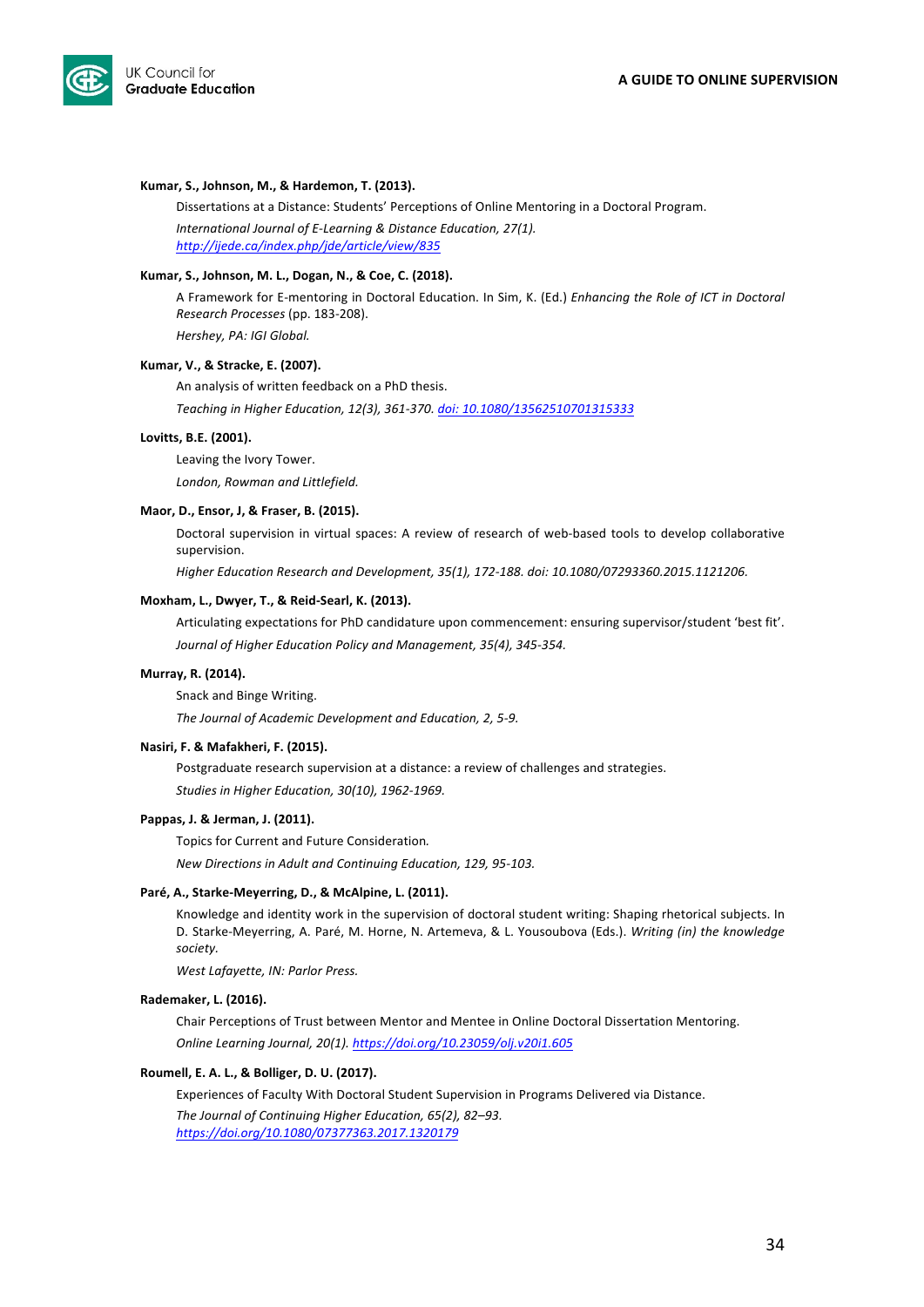

#### Kumar, S., Johnson, M., & Hardemon, T. (2013).

Dissertations at a Distance: Students' Perceptions of Online Mentoring in a Doctoral Program. *International Journal of E-Learning & Distance Education, 27(1). http://ijede.ca/index.php/jde/article/view/835*

#### Kumar, S., Johnson, M. L., Dogan, N., & Coe, C. (2018).

A Framework for E-mentoring in Doctoral Education. In Sim, K. (Ed.) *Enhancing the Role of ICT in Doctoral Research Processes* (pp. 183-208). 

*Hershey, PA: IGI Global.*

#### **Kumar, V., & Stracke, E. (2007).**

An analysis of written feedback on a PhD thesis. *Teaching in Higher Education, 12(3), 361-370. doi: 10.1080/13562510701315333*

#### Lovitts, **B.E.** (2001).

Leaving the Ivory Tower. London, Rowman and Littlefield.

#### Maor, D., Ensor, J, & Fraser, B. (2015).

Doctoral supervision in virtual spaces: A review of research of web-based tools to develop collaborative supervision. 

*Higher Education Research and Development, 35(1), 172-188. doi: 10.1080/07293360.2015.1121206.*

#### **Moxham, L., Dwyer, T., & Reid-Searl, K. (2013).**

Articulating expectations for PhD candidature upon commencement: ensuring supervisor/student 'best fit'. Journal of Higher Education Policy and Management, 35(4), 345-354.

#### **Murray, R. (2014).**

Snack and Binge Writing.

The Journal of Academic Development and Education, 2, 5-9.

#### **Nasiri, F. & Mafakheri, F. (2015).**

Postgraduate research supervision at a distance: a review of challenges and strategies. Studies in Higher Education, 30(10), 1962-1969.

#### Pappas, J. & Jerman, J. (2011).

Topics for Current and Future Consideration*. New Directions in Adult and Continuing Education, 129, 95-103.* 

#### Paré, A., Starke-Meyerring, D., & McAlpine, L. (2011).

Knowledge and identity work in the supervision of doctoral student writing: Shaping rhetorical subjects. In D. Starke-Meyerring, A. Paré, M. Horne, N. Artemeva, & L. Yousoubova (Eds.). *Writing (in) the knowledge society.*

*West Lafayette, IN: Parlor Press.*

#### **Rademaker, L. (2016).**

Chair Perceptions of Trust between Mentor and Mentee in Online Doctoral Dissertation Mentoring. *Online Learning Journal, 20(1). https://doi.org/10.23059/olj.v20i1.605*

#### Roumell, E. A. L., & Bolliger, D. U. (2017).

Experiences of Faculty With Doctoral Student Supervision in Programs Delivered via Distance.

The Journal of Continuing Higher Education, 65(2), 82–93. *https://doi.org/10.1080/07377363.2017.1320179*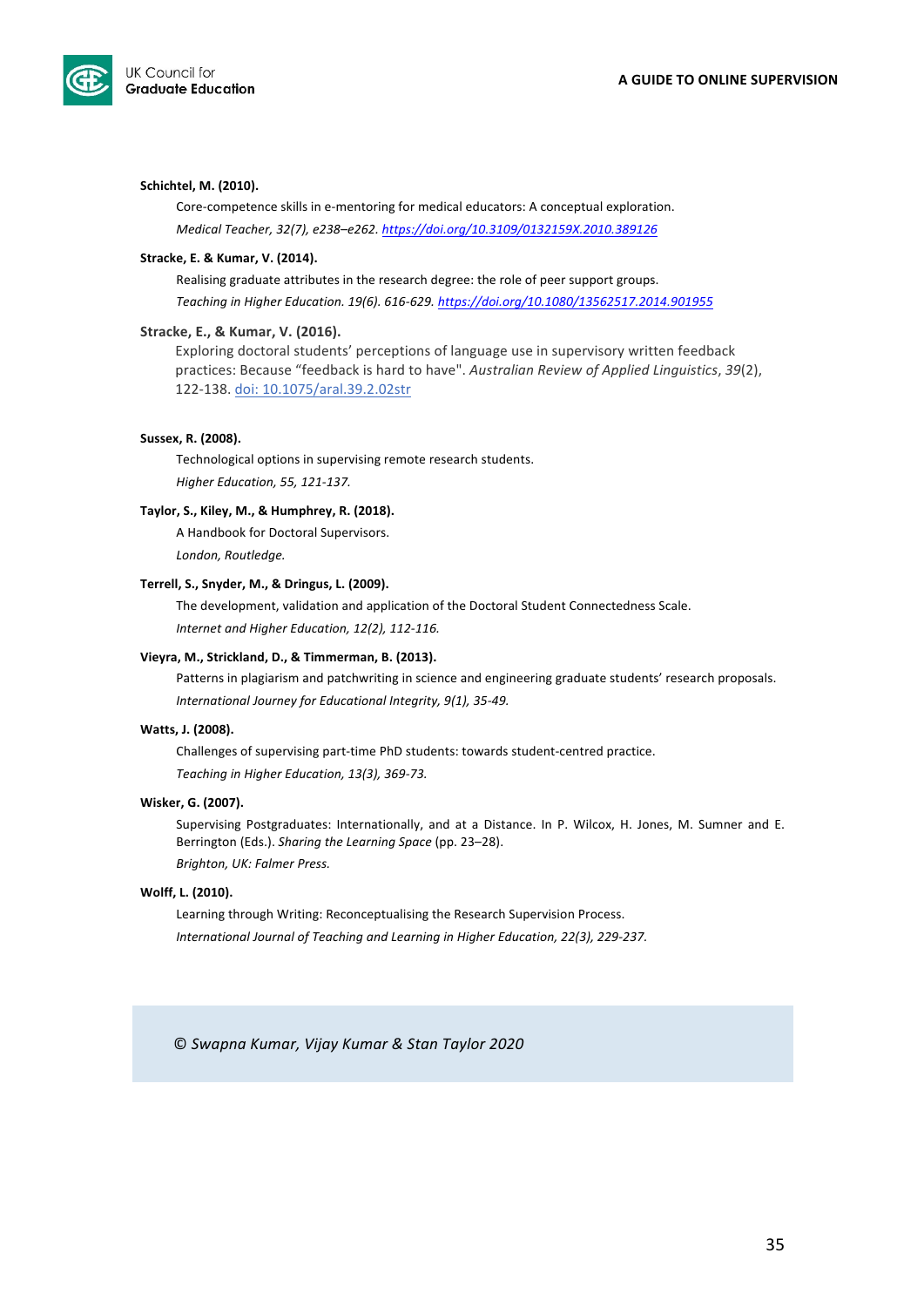

#### Schichtel, M. (2010).

Core-competence skills in e-mentoring for medical educators: A conceptual exploration. *Medical Teacher, 32(7), e238–e262. https://doi.org/10.3109/0132159X.2010.389126*

#### Stracke, E. & Kumar, V. (2014).

Realising graduate attributes in the research degree: the role of peer support groups. *Teaching in Higher Education. 19(6). 616-629. https://doi.org/10.1080/13562517.2014.901955*

#### Stracke, E., & Kumar, V. (2016).

Exploring doctoral students' perceptions of language use in supervisory written feedback practices: Because "feedback is hard to have". Australian Review of Applied Linguistics, 39(2), 122-138. doi: 10.1075/aral.39.2.02str

#### Sussex, R. (2008).

Technological options in supervising remote research students. *Higher Education, 55, 121-137.*

#### Taylor, S., Kiley, M., & Humphrey, R. (2018).

A Handbook for Doctoral Supervisors. London, Routledge.

#### Terrell, S., Snyder, M., & Dringus, L. (2009).

The development, validation and application of the Doctoral Student Connectedness Scale. Internet and Higher Education, 12(2), 112-116.

#### Vieyra, M., Strickland, D., & Timmerman, B. (2013).

Patterns in plagiarism and patchwriting in science and engineering graduate students' research proposals. *International Journey for Educational Integrity, 9(1), 35-49.* 

#### **Watts, J. (2008).**

Challenges of supervising part-time PhD students: towards student-centred practice. Teaching in Higher Education, 13(3), 369-73.

#### **Wisker, G. (2007).**

Supervising Postgraduates: Internationally, and at a Distance. In P. Wilcox, H. Jones, M. Sumner and E. Berrington (Eds.). *Sharing the Learning Space* (pp. 23–28). *Brighton, UK: Falmer Press.*

#### Wolff, L. (2010).

Learning through Writing: Reconceptualising the Research Supervision Process. International Journal of Teaching and Learning in Higher Education, 22(3), 229-237.

© *Swapna Kumar, Vijay Kumar & Stan Taylor 2020*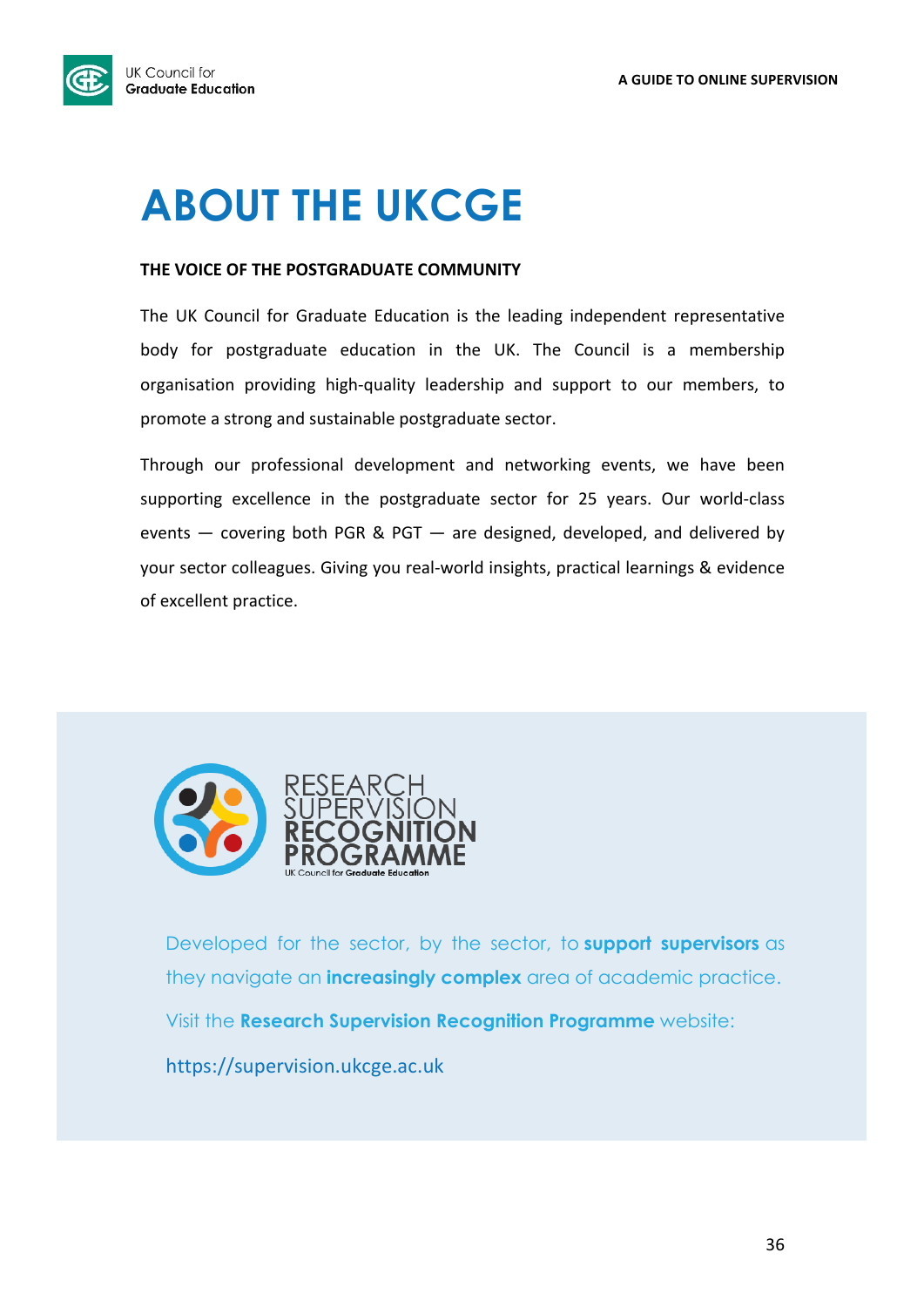

# **ABOUT THE UKCGE**

### **THE VOICE OF THE POSTGRADUATE COMMUNITY**

The UK Council for Graduate Education is the leading independent representative body for postgraduate education in the UK. The Council is a membership organisation providing high-quality leadership and support to our members, to promote a strong and sustainable postgraduate sector.

Through our professional development and networking events, we have been supporting excellence in the postgraduate sector for 25 years. Our world-class events  $-$  covering both PGR & PGT  $-$  are designed, developed, and delivered by your sector colleagues. Giving you real-world insights, practical learnings & evidence of excellent practice.



Developed for the sector, by the sector, to **support supervisors** as they navigate an **increasingly complex** area of academic practice. Visit the **Research Supervision Recognition Programme** website: https://supervision.ukcge.ac.uk